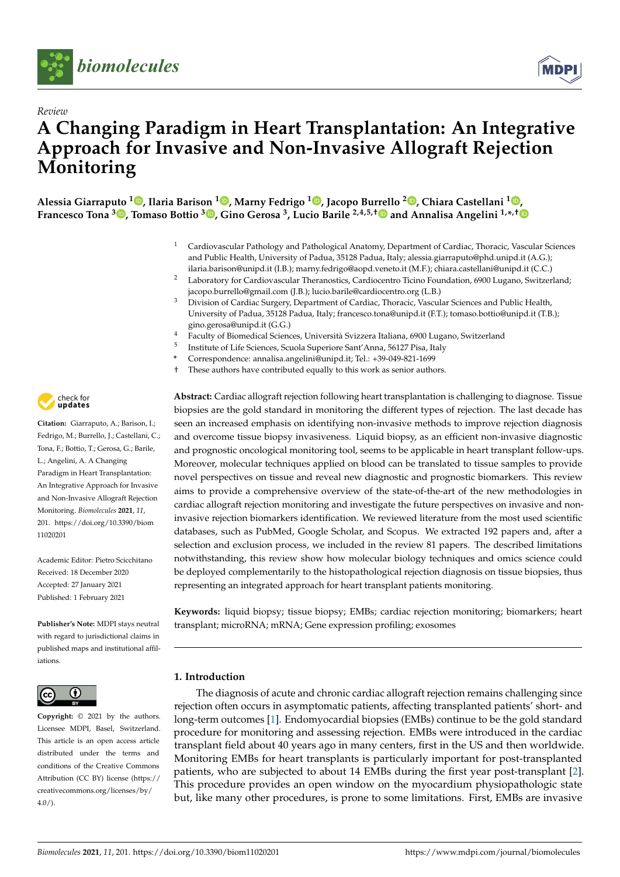



# *Review* **A Changing Paradigm in Heart Transplantation: An Integrative Approach for Invasive and Non-Invasive Allograft Rejection Monitoring**

**Alessia Giarraputo [1](https://orcid.org/0000-0003-4070-7943) , Ilaria Barison <sup>1</sup> [,](https://orcid.org/0000-0001-6745-1605) Marny Fedrigo <sup>1</sup> [,](https://orcid.org/0000-0002-3081-2937) Jacopo Burrello <sup>2</sup> [,](https://orcid.org/0000-0001-7884-7314) Chiara Castellani <sup>1</sup> [,](https://orcid.org/0000-0002-0275-4864)**  $\bf{F}$ rancesco Tona  $^3$   $\bf{D}$ [,](https://orcid.org/0000-0001-7299-2983) Tomaso Bottio  $^3$   $\bf{D}$ , Gino Gerosa  $^3$ , Lucio Barile  $^{2,4,5,\dagger}$   $\bf{D}$  and Annalisa Angelini  $^{1,\ast,\dagger}$ 

- <sup>1</sup> Cardiovascular Pathology and Pathological Anatomy, Department of Cardiac, Thoracic, Vascular Sciences and Public Health, University of Padua, 35128 Padua, Italy; alessia.giarraputo@phd.unipd.it (A.G.); ilaria.barison@unipd.it (I.B.); marny.fedrigo@aopd.veneto.it (M.F.); chiara.castellani@unipd.it (C.C.)
- <sup>2</sup> Laboratory for Cardiovascular Theranostics, Cardiocentro Ticino Foundation, 6900 Lugano, Switzerland; jacopo.burrello@gmail.com (J.B.); lucio.barile@cardiocentro.org (L.B.)
- <sup>3</sup> Division of Cardiac Surgery, Department of Cardiac, Thoracic, Vascular Sciences and Public Health, University of Padua, 35128 Padua, Italy; francesco.tona@unipd.it (F.T.); tomaso.bottio@unipd.it (T.B.); gino.gerosa@unipd.it (G.G.)
- <sup>4</sup> Faculty of Biomedical Sciences, Università Svizzera Italiana, 6900 Lugano, Switzerland
- 5 Institute of Life Sciences, Scuola Superiore Sant'Anna, 56127 Pisa, Italy
- **\*** Correspondence: annalisa.angelini@unipd.it; Tel.: +39-049-821-1699
- † These authors have contributed equally to this work as senior authors.

**Abstract:** Cardiac allograft rejection following heart transplantation is challenging to diagnose. Tissue biopsies are the gold standard in monitoring the different types of rejection. The last decade has seen an increased emphasis on identifying non-invasive methods to improve rejection diagnosis and overcome tissue biopsy invasiveness. Liquid biopsy, as an efficient non-invasive diagnostic and prognostic oncological monitoring tool, seems to be applicable in heart transplant follow-ups. Moreover, molecular techniques applied on blood can be translated to tissue samples to provide novel perspectives on tissue and reveal new diagnostic and prognostic biomarkers. This review aims to provide a comprehensive overview of the state-of-the-art of the new methodologies in cardiac allograft rejection monitoring and investigate the future perspectives on invasive and noninvasive rejection biomarkers identification. We reviewed literature from the most used scientific databases, such as PubMed, Google Scholar, and Scopus. We extracted 192 papers and, after a selection and exclusion process, we included in the review 81 papers. The described limitations notwithstanding, this review show how molecular biology techniques and omics science could be deployed complementarily to the histopathological rejection diagnosis on tissue biopsies, thus representing an integrated approach for heart transplant patients monitoring.

**Keywords:** liquid biopsy; tissue biopsy; EMBs; cardiac rejection monitoring; biomarkers; heart transplant; microRNA; mRNA; Gene expression profiling; exosomes

## **1. Introduction**

The diagnosis of acute and chronic cardiac allograft rejection remains challenging since rejection often occurs in asymptomatic patients, affecting transplanted patients' short- and long-term outcomes [\[1\]](#page-13-0). Endomyocardial biopsies (EMBs) continue to be the gold standard procedure for monitoring and assessing rejection. EMBs were introduced in the cardiac transplant field about 40 years ago in many centers, first in the US and then worldwide. Monitoring EMBs for heart transplants is particularly important for post-transplanted patients, who are subjected to about 14 EMBs during the first year post-transplant [\[2\]](#page-13-1). This procedure provides an open window on the myocardium physiopathologic state but, like many other procedures, is prone to some limitations. First, EMBs are invasive



**Citation:** Giarraputo, A.; Barison, I.; Fedrigo, M.; Burrello, J.; Castellani, C.; Tona, F.; Bottio, T.; Gerosa, G.; Barile, L.; Angelini, A. A Changing Paradigm in Heart Transplantation: An Integrative Approach for Invasive and Non-Invasive Allograft Rejection Monitoring. *Biomolecules* **2021**, *11*, 201. [https://doi.org/10.3390/biom](https://doi.org/10.3390/biom11020201) [11020201](https://doi.org/10.3390/biom11020201)

Academic Editor: Pietro Scicchitano Received: 18 December 2020 Accepted: 27 January 2021 Published: 1 February 2021

**Publisher's Note:** MDPI stays neutral with regard to jurisdictional claims in published maps and institutional affiliations.



**Copyright:** © 2021 by the authors. Licensee MDPI, Basel, Switzerland. This article is an open access article distributed under the terms and conditions of the Creative Commons Attribution (CC BY) license (https:/[/](https://creativecommons.org/licenses/by/4.0/) [creativecommons.org/licenses/by/](https://creativecommons.org/licenses/by/4.0/)  $4.0/$ ).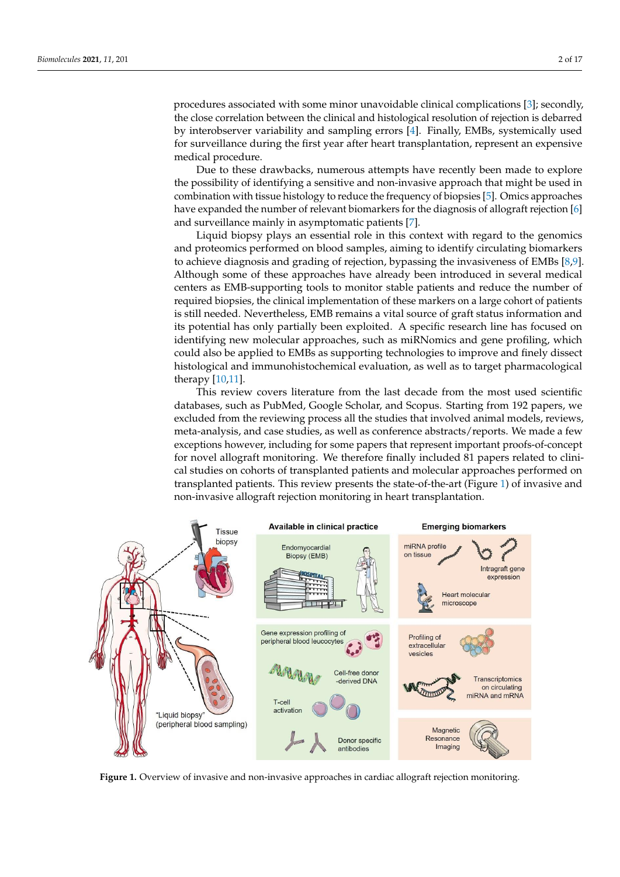procedures associated with some minor unavoidable clinical complications [\[3\]](#page-13-2); secondly, the close correlation between the clinical and histological resolution of rejection is debarred by interobserver variability and sampling errors [\[4\]](#page-13-3). Finally, EMBs, systemically used for surveillance during the first year after heart transplantation, represent an expensive medical procedure.  $s_{\rm c}$  the clinical and histological and histological and histological and histological resolution of regelation of regelation of  $r_{\rm c}$ 

Due to these drawbacks, numerous attempts have recently been made to explore the possibility of identifying a sensitive and non-invasive approach that might be used in combination with tissue histology to reduce the frequency of biopsies [\[5\]](#page-13-4). Omics approaches have expanded the number of relevant biomarkers for the diagnosis of allograft rejection [\[6\]](#page-13-5)  $\,$ and surveillance mainly in asymptomatic patients [\[7\]](#page-13-6). cally used for surveillance during the first year after the contract to contract the first year after the contract transportation, represent and the contract of contract the contract of contract the contract of contract of

Liquid biopsy plays an essential role in this context with regard to the genomics and proteomics performed on blood samples, aiming to identify circulating biomarkers to achieve diagnosis and grading of rejection, bypassing the invasiveness of EMBs [\[8,](#page-13-7)[9\]](#page-13-8). Although some of these approaches have already been introduced in several medical centers as EMB-supporting tools to monitor stable patients and reduce the number of required biopsies, the clinical implementation of these markers on a large cohort of patients is still needed. Nevertheless, EMB remains a vital source of graft status information and to our necessary reversioness) and remains a vial source or grave sames incriminative and<br>its potential has only partially been exploited. A specific research line has focused on identifying new molecular approaches, such as miRNomics and gene profiling, which could also be applied to EMBs as supporting technologies to improve and finely dissect histological and immunohistochemical evaluation, as well as to target pharmacological therapy  $[10,11]$  $[10,11]$ . potential has only partially been explored. To specific research line has been

This review covers literature from the last decade from the most used scientific databases, such as PubMed, Google Scholar, and Scopus. Starting from 192 papers, we excluded from the reviewing process all the studies that involved animal models, reviews, meta-analysis, and case studies, as well as conference abstracts/reports. We made a few exceptions however, including for some papers that represent important proofs-of-concept for novel allograft monitoring. We therefore finally included 81 papers related to clinical studies on cohorts of transplanted patients and molecular approaches performed on call studies on cohorts of transplanted patients and molecular approaches performed on transplanted patients. This review presents the state-of-the-art (Figure [1\)](#page-1-0) of invasive and non-invasive allograft rejection monitoring in heart transplantation. and non-invasive allograft rejection monitoring in heart transplantation. clinical studies on cohorts of transplanted patients and molecular approaches performed

<span id="page-1-0"></span>

**Figure 1.** Overview of invasive and non-invasive approaches in cardiac allograft rejection monitoring.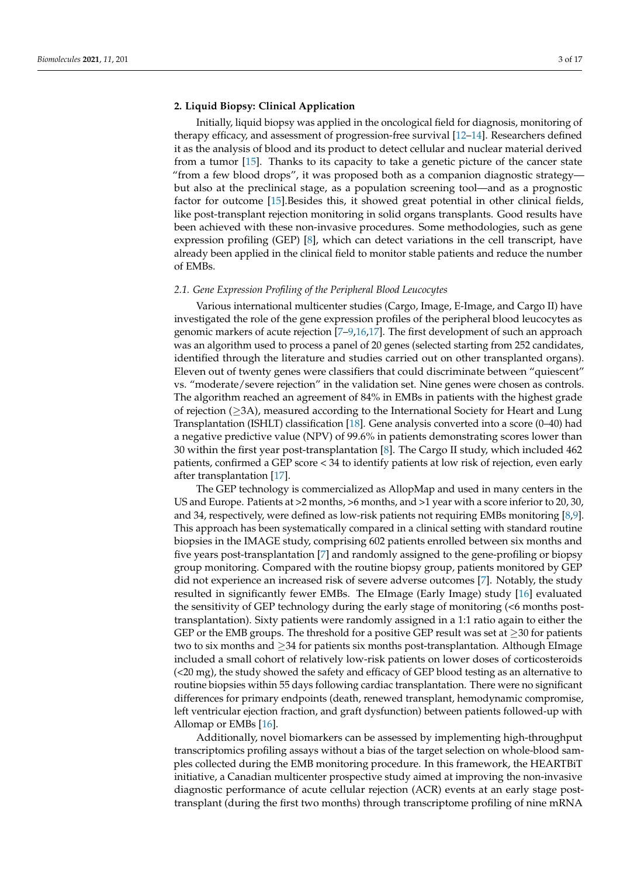## **2. Liquid Biopsy: Clinical Application**

Initially, liquid biopsy was applied in the oncological field for diagnosis, monitoring of therapy efficacy, and assessment of progression-free survival [\[12–](#page-13-11)[14\]](#page-13-12). Researchers defined it as the analysis of blood and its product to detect cellular and nuclear material derived from a tumor [\[15\]](#page-13-13). Thanks to its capacity to take a genetic picture of the cancer state "from a few blood drops", it was proposed both as a companion diagnostic strategy but also at the preclinical stage, as a population screening tool—and as a prognostic factor for outcome [\[15\]](#page-13-13).Besides this, it showed great potential in other clinical fields, like post-transplant rejection monitoring in solid organs transplants. Good results have been achieved with these non-invasive procedures. Some methodologies, such as gene expression profiling (GEP) [\[8\]](#page-13-7), which can detect variations in the cell transcript, have already been applied in the clinical field to monitor stable patients and reduce the number of EMBs.

### *2.1. Gene Expression Profiling of the Peripheral Blood Leucocytes*

Various international multicenter studies (Cargo, Image, E-Image, and Cargo II) have investigated the role of the gene expression profiles of the peripheral blood leucocytes as genomic markers of acute rejection [\[7](#page-13-6)[–9](#page-13-8)[,16](#page-13-14)[,17\]](#page-13-15). The first development of such an approach was an algorithm used to process a panel of 20 genes (selected starting from 252 candidates, identified through the literature and studies carried out on other transplanted organs). Eleven out of twenty genes were classifiers that could discriminate between "quiescent" vs. "moderate/severe rejection" in the validation set. Nine genes were chosen as controls. The algorithm reached an agreement of 84% in EMBs in patients with the highest grade of rejection  $(\geq 3A)$ , measured according to the International Society for Heart and Lung Transplantation (ISHLT) classification [\[18\]](#page-14-0). Gene analysis converted into a score (0–40) had a negative predictive value (NPV) of 99.6% in patients demonstrating scores lower than 30 within the first year post-transplantation [\[8\]](#page-13-7). The Cargo II study, which included 462 patients, confirmed a GEP score < 34 to identify patients at low risk of rejection, even early after transplantation [\[17\]](#page-13-15).

The GEP technology is commercialized as AllopMap and used in many centers in the US and Europe. Patients at >2 months, >6 months, and >1 year with a score inferior to 20, 30, and 34, respectively, were defined as low-risk patients not requiring EMBs monitoring [\[8](#page-13-7)[,9\]](#page-13-8). This approach has been systematically compared in a clinical setting with standard routine biopsies in the IMAGE study, comprising 602 patients enrolled between six months and five years post-transplantation [\[7\]](#page-13-6) and randomly assigned to the gene-profiling or biopsy group monitoring. Compared with the routine biopsy group, patients monitored by GEP did not experience an increased risk of severe adverse outcomes [\[7\]](#page-13-6). Notably, the study resulted in significantly fewer EMBs. The EImage (Early Image) study [\[16\]](#page-13-14) evaluated the sensitivity of GEP technology during the early stage of monitoring (<6 months posttransplantation). Sixty patients were randomly assigned in a 1:1 ratio again to either the GEP or the EMB groups. The threshold for a positive GEP result was set at  $\geq$ 30 for patients two to six months and ≥34 for patients six months post-transplantation. Although EImage included a small cohort of relatively low-risk patients on lower doses of corticosteroids (<20 mg), the study showed the safety and efficacy of GEP blood testing as an alternative to routine biopsies within 55 days following cardiac transplantation. There were no significant differences for primary endpoints (death, renewed transplant, hemodynamic compromise, left ventricular ejection fraction, and graft dysfunction) between patients followed-up with Allomap or EMBs [\[16\]](#page-13-14).

Additionally, novel biomarkers can be assessed by implementing high-throughput transcriptomics profiling assays without a bias of the target selection on whole-blood samples collected during the EMB monitoring procedure. In this framework, the HEARTBiT initiative, a Canadian multicenter prospective study aimed at improving the non-invasive diagnostic performance of acute cellular rejection (ACR) events at an early stage posttransplant (during the first two months) through transcriptome profiling of nine mRNA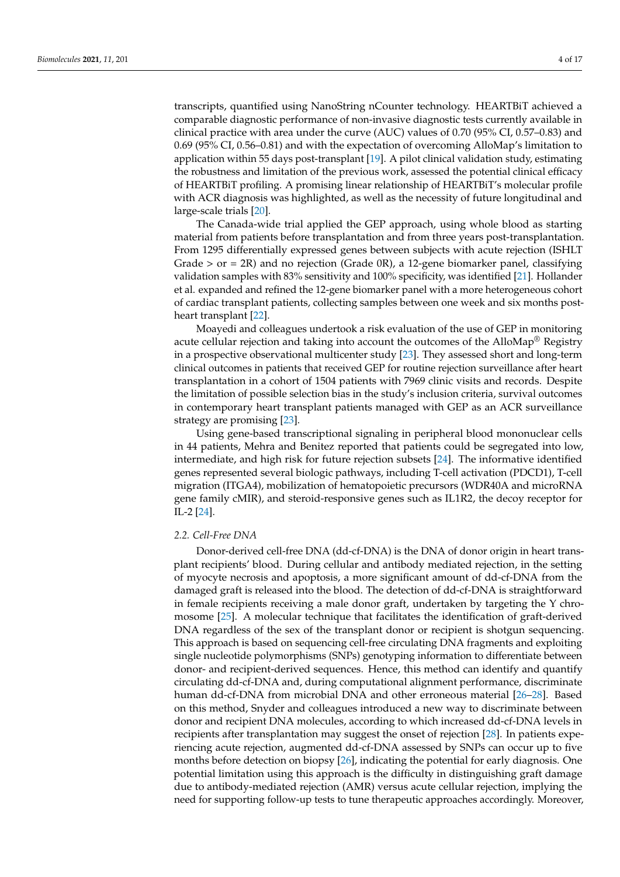transcripts, quantified using NanoString nCounter technology. HEARTBiT achieved a comparable diagnostic performance of non-invasive diagnostic tests currently available in clinical practice with area under the curve (AUC) values of 0.70 (95% CI, 0.57–0.83) and 0.69 (95% CI, 0.56–0.81) and with the expectation of overcoming AlloMap's limitation to application within 55 days post-transplant [\[19\]](#page-14-1). A pilot clinical validation study, estimating the robustness and limitation of the previous work, assessed the potential clinical efficacy of HEARTBiT profiling. A promising linear relationship of HEARTBiT's molecular profile with ACR diagnosis was highlighted, as well as the necessity of future longitudinal and large-scale trials [\[20\]](#page-14-2).

The Canada-wide trial applied the GEP approach, using whole blood as starting material from patients before transplantation and from three years post-transplantation. From 1295 differentially expressed genes between subjects with acute rejection (ISHLT Grade  $>$  or = 2R) and no rejection (Grade 0R), a 12-gene biomarker panel, classifying validation samples with 83% sensitivity and 100% specificity, was identified [\[21\]](#page-14-3). Hollander et al. expanded and refined the 12-gene biomarker panel with a more heterogeneous cohort of cardiac transplant patients, collecting samples between one week and six months postheart transplant [\[22\]](#page-14-4).

Moayedi and colleagues undertook a risk evaluation of the use of GEP in monitoring acute cellular rejection and taking into account the outcomes of the AlloMap<sup>®</sup> Registry in a prospective observational multicenter study [\[23\]](#page-14-5). They assessed short and long-term clinical outcomes in patients that received GEP for routine rejection surveillance after heart transplantation in a cohort of 1504 patients with 7969 clinic visits and records. Despite the limitation of possible selection bias in the study's inclusion criteria, survival outcomes in contemporary heart transplant patients managed with GEP as an ACR surveillance strategy are promising [\[23\]](#page-14-5).

Using gene-based transcriptional signaling in peripheral blood mononuclear cells in 44 patients, Mehra and Benitez reported that patients could be segregated into low, intermediate, and high risk for future rejection subsets [\[24\]](#page-14-6). The informative identified genes represented several biologic pathways, including T-cell activation (PDCD1), T-cell migration (ITGA4), mobilization of hematopoietic precursors (WDR40A and microRNA gene family cMIR), and steroid-responsive genes such as IL1R2, the decoy receptor for IL-2 [\[24\]](#page-14-6).

## *2.2. Cell-Free DNA*

Donor-derived cell-free DNA (dd-cf-DNA) is the DNA of donor origin in heart transplant recipients' blood. During cellular and antibody mediated rejection, in the setting of myocyte necrosis and apoptosis, a more significant amount of dd-cf-DNA from the damaged graft is released into the blood. The detection of dd-cf-DNA is straightforward in female recipients receiving a male donor graft, undertaken by targeting the Y chromosome [\[25\]](#page-14-7). A molecular technique that facilitates the identification of graft-derived DNA regardless of the sex of the transplant donor or recipient is shotgun sequencing. This approach is based on sequencing cell-free circulating DNA fragments and exploiting single nucleotide polymorphisms (SNPs) genotyping information to differentiate between donor- and recipient-derived sequences. Hence, this method can identify and quantify circulating dd-cf-DNA and, during computational alignment performance, discriminate human dd-cf-DNA from microbial DNA and other erroneous material [\[26–](#page-14-8)[28\]](#page-14-9). Based on this method, Snyder and colleagues introduced a new way to discriminate between donor and recipient DNA molecules, according to which increased dd-cf-DNA levels in recipients after transplantation may suggest the onset of rejection [\[28\]](#page-14-9). In patients experiencing acute rejection, augmented dd-cf-DNA assessed by SNPs can occur up to five months before detection on biopsy [\[26\]](#page-14-8), indicating the potential for early diagnosis. One potential limitation using this approach is the difficulty in distinguishing graft damage due to antibody-mediated rejection (AMR) versus acute cellular rejection, implying the need for supporting follow-up tests to tune therapeutic approaches accordingly. Moreover,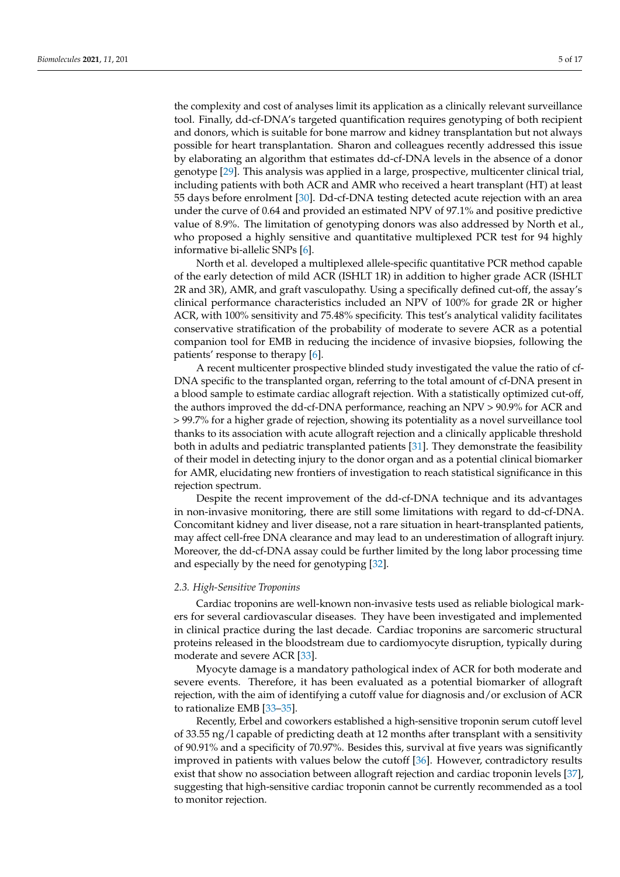the complexity and cost of analyses limit its application as a clinically relevant surveillance tool. Finally, dd-cf-DNA's targeted quantification requires genotyping of both recipient and donors, which is suitable for bone marrow and kidney transplantation but not always possible for heart transplantation. Sharon and colleagues recently addressed this issue by elaborating an algorithm that estimates dd-cf-DNA levels in the absence of a donor genotype [\[29\]](#page-14-10). This analysis was applied in a large, prospective, multicenter clinical trial, including patients with both ACR and AMR who received a heart transplant (HT) at least 55 days before enrolment [\[30\]](#page-14-11). Dd-cf-DNA testing detected acute rejection with an area under the curve of 0.64 and provided an estimated NPV of 97.1% and positive predictive value of 8.9%. The limitation of genotyping donors was also addressed by North et al., who proposed a highly sensitive and quantitative multiplexed PCR test for 94 highly informative bi-allelic SNPs [\[6\]](#page-13-5).

North et al. developed a multiplexed allele-specific quantitative PCR method capable of the early detection of mild ACR (ISHLT 1R) in addition to higher grade ACR (ISHLT 2R and 3R), AMR, and graft vasculopathy. Using a specifically defined cut-off, the assay's clinical performance characteristics included an NPV of 100% for grade 2R or higher ACR, with 100% sensitivity and 75.48% specificity. This test's analytical validity facilitates conservative stratification of the probability of moderate to severe ACR as a potential companion tool for EMB in reducing the incidence of invasive biopsies, following the patients' response to therapy [\[6\]](#page-13-5).

A recent multicenter prospective blinded study investigated the value the ratio of cf-DNA specific to the transplanted organ, referring to the total amount of cf-DNA present in a blood sample to estimate cardiac allograft rejection. With a statistically optimized cut-off, the authors improved the dd-cf-DNA performance, reaching an NPV > 90.9% for ACR and > 99.7% for a higher grade of rejection, showing its potentiality as a novel surveillance tool thanks to its association with acute allograft rejection and a clinically applicable threshold both in adults and pediatric transplanted patients [\[31\]](#page-14-12). They demonstrate the feasibility of their model in detecting injury to the donor organ and as a potential clinical biomarker for AMR, elucidating new frontiers of investigation to reach statistical significance in this rejection spectrum.

Despite the recent improvement of the dd-cf-DNA technique and its advantages in non-invasive monitoring, there are still some limitations with regard to dd-cf-DNA. Concomitant kidney and liver disease, not a rare situation in heart-transplanted patients, may affect cell-free DNA clearance and may lead to an underestimation of allograft injury. Moreover, the dd-cf-DNA assay could be further limited by the long labor processing time and especially by the need for genotyping [\[32\]](#page-14-13).

### *2.3. High-Sensitive Troponins*

Cardiac troponins are well-known non-invasive tests used as reliable biological markers for several cardiovascular diseases. They have been investigated and implemented in clinical practice during the last decade. Cardiac troponins are sarcomeric structural proteins released in the bloodstream due to cardiomyocyte disruption, typically during moderate and severe ACR [\[33\]](#page-14-14).

Myocyte damage is a mandatory pathological index of ACR for both moderate and severe events. Therefore, it has been evaluated as a potential biomarker of allograft rejection, with the aim of identifying a cutoff value for diagnosis and/or exclusion of ACR to rationalize EMB [\[33](#page-14-14)[–35\]](#page-14-15).

Recently, Erbel and coworkers established a high-sensitive troponin serum cutoff level of 33.55 ng/l capable of predicting death at 12 months after transplant with a sensitivity of 90.91% and a specificity of 70.97%. Besides this, survival at five years was significantly improved in patients with values below the cutoff [\[36\]](#page-14-16). However, contradictory results exist that show no association between allograft rejection and cardiac troponin levels [\[37\]](#page-14-17), suggesting that high-sensitive cardiac troponin cannot be currently recommended as a tool to monitor rejection.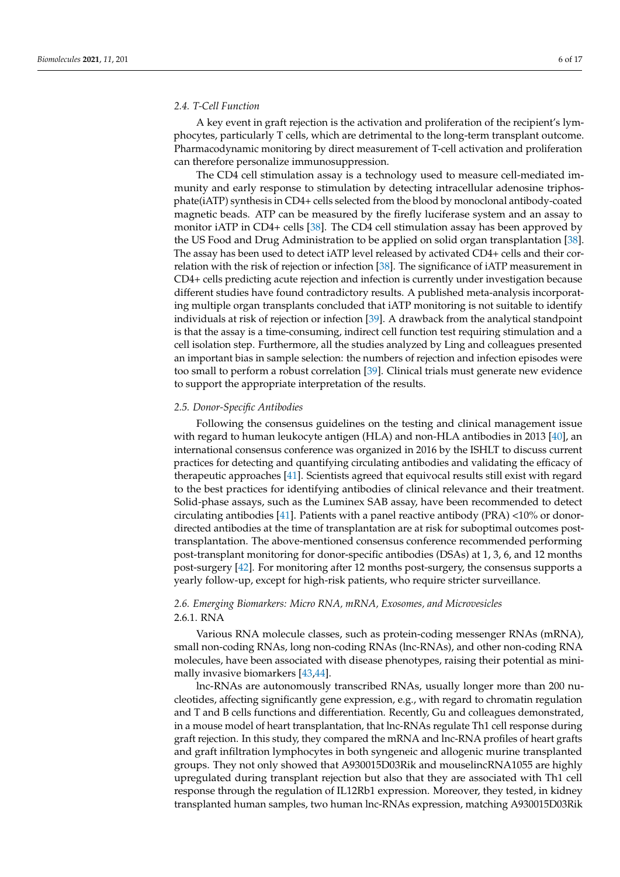## *2.4. T-Cell Function*

A key event in graft rejection is the activation and proliferation of the recipient's lymphocytes, particularly T cells, which are detrimental to the long-term transplant outcome. Pharmacodynamic monitoring by direct measurement of T-cell activation and proliferation can therefore personalize immunosuppression.

The CD4 cell stimulation assay is a technology used to measure cell-mediated immunity and early response to stimulation by detecting intracellular adenosine triphosphate(iATP) synthesis in CD4+ cells selected from the blood by monoclonal antibody-coated magnetic beads. ATP can be measured by the firefly luciferase system and an assay to monitor iATP in CD4+ cells [\[38\]](#page-14-18). The CD4 cell stimulation assay has been approved by the US Food and Drug Administration to be applied on solid organ transplantation [\[38\]](#page-14-18). The assay has been used to detect iATP level released by activated CD4+ cells and their correlation with the risk of rejection or infection [\[38\]](#page-14-18). The significance of iATP measurement in CD4+ cells predicting acute rejection and infection is currently under investigation because different studies have found contradictory results. A published meta-analysis incorporating multiple organ transplants concluded that iATP monitoring is not suitable to identify individuals at risk of rejection or infection [\[39\]](#page-14-19). A drawback from the analytical standpoint is that the assay is a time-consuming, indirect cell function test requiring stimulation and a cell isolation step. Furthermore, all the studies analyzed by Ling and colleagues presented an important bias in sample selection: the numbers of rejection and infection episodes were too small to perform a robust correlation [\[39\]](#page-14-19). Clinical trials must generate new evidence to support the appropriate interpretation of the results.

#### *2.5. Donor-Specific Antibodies*

Following the consensus guidelines on the testing and clinical management issue with regard to human leukocyte antigen (HLA) and non-HLA antibodies in 2013 [\[40\]](#page-15-0), an international consensus conference was organized in 2016 by the ISHLT to discuss current practices for detecting and quantifying circulating antibodies and validating the efficacy of therapeutic approaches [\[41\]](#page-15-1). Scientists agreed that equivocal results still exist with regard to the best practices for identifying antibodies of clinical relevance and their treatment. Solid-phase assays, such as the Luminex SAB assay, have been recommended to detect circulating antibodies [\[41\]](#page-15-1). Patients with a panel reactive antibody (PRA)  $<10\%$  or donordirected antibodies at the time of transplantation are at risk for suboptimal outcomes posttransplantation. The above-mentioned consensus conference recommended performing post-transplant monitoring for donor-specific antibodies (DSAs) at 1, 3, 6, and 12 months post-surgery [\[42\]](#page-15-2). For monitoring after 12 months post-surgery, the consensus supports a yearly follow-up, except for high-risk patients, who require stricter surveillance.

# *2.6. Emerging Biomarkers: Micro RNA, mRNA, Exosomes, and Microvesicles* 2.6.1. RNA

Various RNA molecule classes, such as protein-coding messenger RNAs (mRNA), small non-coding RNAs, long non-coding RNAs (lnc-RNAs), and other non-coding RNA molecules, have been associated with disease phenotypes, raising their potential as minimally invasive biomarkers [\[43](#page-15-3)[,44\]](#page-15-4).

lnc-RNAs are autonomously transcribed RNAs, usually longer more than 200 nucleotides, affecting significantly gene expression, e.g., with regard to chromatin regulation and T and B cells functions and differentiation. Recently, Gu and colleagues demonstrated, in a mouse model of heart transplantation, that lnc-RNAs regulate Th1 cell response during graft rejection. In this study, they compared the mRNA and lnc-RNA profiles of heart grafts and graft infiltration lymphocytes in both syngeneic and allogenic murine transplanted groups. They not only showed that A930015D03Rik and mouselincRNA1055 are highly upregulated during transplant rejection but also that they are associated with Th1 cell response through the regulation of IL12Rb1 expression. Moreover, they tested, in kidney transplanted human samples, two human lnc-RNAs expression, matching A930015D03Rik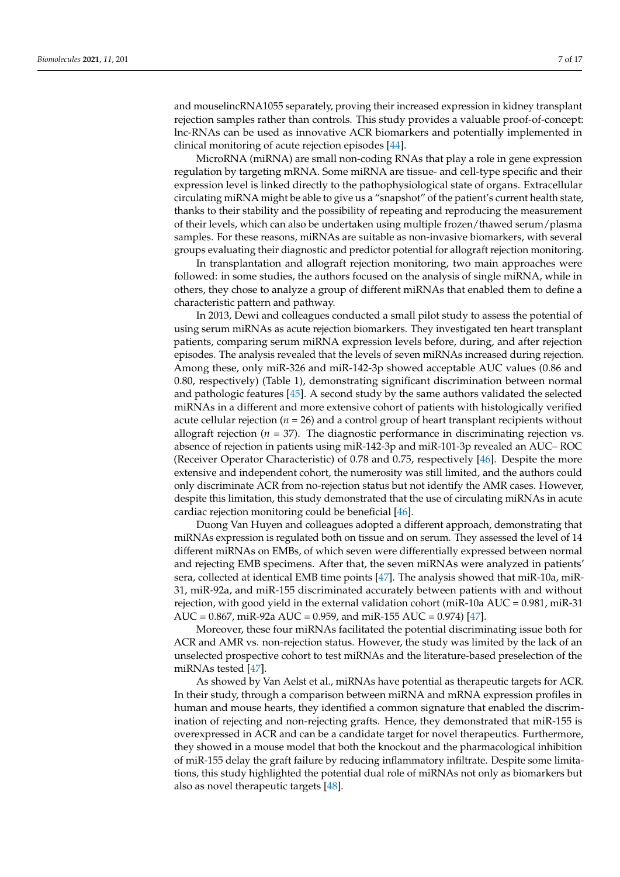and mouselincRNA1055 separately, proving their increased expression in kidney transplant rejection samples rather than controls. This study provides a valuable proof-of-concept: lnc-RNAs can be used as innovative ACR biomarkers and potentially implemented in clinical monitoring of acute rejection episodes [\[44\]](#page-15-4).

MicroRNA (miRNA) are small non-coding RNAs that play a role in gene expression regulation by targeting mRNA. Some miRNA are tissue- and cell-type specific and their expression level is linked directly to the pathophysiological state of organs. Extracellular circulating miRNA might be able to give us a "snapshot" of the patient's current health state, thanks to their stability and the possibility of repeating and reproducing the measurement of their levels, which can also be undertaken using multiple frozen/thawed serum/plasma samples. For these reasons, miRNAs are suitable as non-invasive biomarkers, with several groups evaluating their diagnostic and predictor potential for allograft rejection monitoring.

In transplantation and allograft rejection monitoring, two main approaches were followed: in some studies, the authors focused on the analysis of single miRNA, while in others, they chose to analyze a group of different miRNAs that enabled them to define a characteristic pattern and pathway.

In 2013, Dewi and colleagues conducted a small pilot study to assess the potential of using serum miRNAs as acute rejection biomarkers. They investigated ten heart transplant patients, comparing serum miRNA expression levels before, during, and after rejection episodes. The analysis revealed that the levels of seven miRNAs increased during rejection. Among these, only miR-326 and miR-142-3p showed acceptable AUC values (0.86 and 0.80, respectively) (Table 1), demonstrating significant discrimination between normal and pathologic features [\[45\]](#page-15-5). A second study by the same authors validated the selected miRNAs in a different and more extensive cohort of patients with histologically verified acute cellular rejection ( $n = 26$ ) and a control group of heart transplant recipients without allograft rejection  $(n = 37)$ . The diagnostic performance in discriminating rejection vs. absence of rejection in patients using miR-142-3p and miR-101-3p revealed an AUC– ROC (Receiver Operator Characteristic) of 0.78 and 0.75, respectively [\[46\]](#page-15-6). Despite the more extensive and independent cohort, the numerosity was still limited, and the authors could only discriminate ACR from no-rejection status but not identify the AMR cases. However, despite this limitation, this study demonstrated that the use of circulating miRNAs in acute cardiac rejection monitoring could be beneficial [\[46\]](#page-15-6).

Duong Van Huyen and colleagues adopted a different approach, demonstrating that miRNAs expression is regulated both on tissue and on serum. They assessed the level of 14 different miRNAs on EMBs, of which seven were differentially expressed between normal and rejecting EMB specimens. After that, the seven miRNAs were analyzed in patients' sera, collected at identical EMB time points [\[47\]](#page-15-7). The analysis showed that miR-10a, miR-31, miR-92a, and miR-155 discriminated accurately between patients with and without rejection, with good yield in the external validation cohort ( $\text{miR-10a AUC} = 0.981$ ,  $\text{miR-31}$ AUC =  $0.867$ , miR-92a AUC =  $0.959$ , and miR-155 AUC =  $0.974$ ) [\[47\]](#page-15-7).

Moreover, these four miRNAs facilitated the potential discriminating issue both for ACR and AMR vs. non-rejection status. However, the study was limited by the lack of an unselected prospective cohort to test miRNAs and the literature-based preselection of the miRNAs tested [\[47\]](#page-15-7).

As showed by Van Aelst et al., miRNAs have potential as therapeutic targets for ACR. In their study, through a comparison between miRNA and mRNA expression profiles in human and mouse hearts, they identified a common signature that enabled the discrimination of rejecting and non-rejecting grafts. Hence, they demonstrated that miR-155 is overexpressed in ACR and can be a candidate target for novel therapeutics. Furthermore, they showed in a mouse model that both the knockout and the pharmacological inhibition of miR-155 delay the graft failure by reducing inflammatory infiltrate. Despite some limitations, this study highlighted the potential dual role of miRNAs not only as biomarkers but also as novel therapeutic targets [\[48\]](#page-15-8).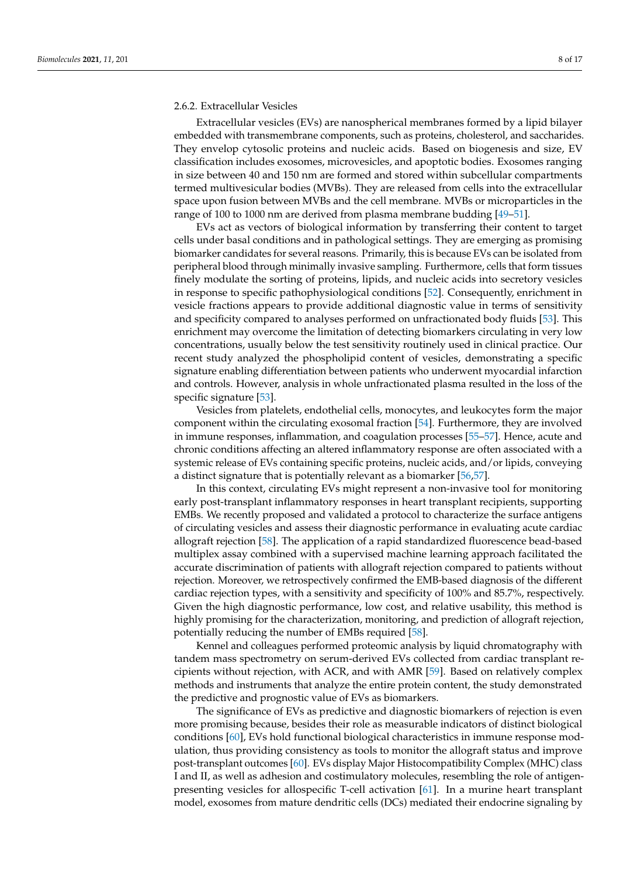## 2.6.2. Extracellular Vesicles

Extracellular vesicles (EVs) are nanospherical membranes formed by a lipid bilayer embedded with transmembrane components, such as proteins, cholesterol, and saccharides. They envelop cytosolic proteins and nucleic acids. Based on biogenesis and size, EV classification includes exosomes, microvesicles, and apoptotic bodies. Exosomes ranging in size between 40 and 150 nm are formed and stored within subcellular compartments termed multivesicular bodies (MVBs). They are released from cells into the extracellular space upon fusion between MVBs and the cell membrane. MVBs or microparticles in the range of 100 to 1000 nm are derived from plasma membrane budding [\[49–](#page-15-9)[51\]](#page-15-10).

EVs act as vectors of biological information by transferring their content to target cells under basal conditions and in pathological settings. They are emerging as promising biomarker candidates for several reasons. Primarily, this is because EVs can be isolated from peripheral blood through minimally invasive sampling. Furthermore, cells that form tissues finely modulate the sorting of proteins, lipids, and nucleic acids into secretory vesicles in response to specific pathophysiological conditions [\[52\]](#page-15-11). Consequently, enrichment in vesicle fractions appears to provide additional diagnostic value in terms of sensitivity and specificity compared to analyses performed on unfractionated body fluids [\[53\]](#page-15-12). This enrichment may overcome the limitation of detecting biomarkers circulating in very low concentrations, usually below the test sensitivity routinely used in clinical practice. Our recent study analyzed the phospholipid content of vesicles, demonstrating a specific signature enabling differentiation between patients who underwent myocardial infarction and controls. However, analysis in whole unfractionated plasma resulted in the loss of the specific signature [\[53\]](#page-15-12).

Vesicles from platelets, endothelial cells, monocytes, and leukocytes form the major component within the circulating exosomal fraction [\[54\]](#page-15-13). Furthermore, they are involved in immune responses, inflammation, and coagulation processes [\[55](#page-15-14)[–57\]](#page-15-15). Hence, acute and chronic conditions affecting an altered inflammatory response are often associated with a systemic release of EVs containing specific proteins, nucleic acids, and/or lipids, conveying a distinct signature that is potentially relevant as a biomarker [\[56](#page-15-16)[,57\]](#page-15-15).

In this context, circulating EVs might represent a non-invasive tool for monitoring early post-transplant inflammatory responses in heart transplant recipients, supporting EMBs. We recently proposed and validated a protocol to characterize the surface antigens of circulating vesicles and assess their diagnostic performance in evaluating acute cardiac allograft rejection [\[58\]](#page-15-17). The application of a rapid standardized fluorescence bead-based multiplex assay combined with a supervised machine learning approach facilitated the accurate discrimination of patients with allograft rejection compared to patients without rejection. Moreover, we retrospectively confirmed the EMB-based diagnosis of the different cardiac rejection types, with a sensitivity and specificity of 100% and 85.7%, respectively. Given the high diagnostic performance, low cost, and relative usability, this method is highly promising for the characterization, monitoring, and prediction of allograft rejection, potentially reducing the number of EMBs required [\[58\]](#page-15-17).

Kennel and colleagues performed proteomic analysis by liquid chromatography with tandem mass spectrometry on serum-derived EVs collected from cardiac transplant recipients without rejection, with ACR, and with AMR [\[59\]](#page-15-18). Based on relatively complex methods and instruments that analyze the entire protein content, the study demonstrated the predictive and prognostic value of EVs as biomarkers.

The significance of EVs as predictive and diagnostic biomarkers of rejection is even more promising because, besides their role as measurable indicators of distinct biological conditions [\[60\]](#page-15-19), EVs hold functional biological characteristics in immune response modulation, thus providing consistency as tools to monitor the allograft status and improve post-transplant outcomes [\[60\]](#page-15-19). EVs display Major Histocompatibility Complex (MHC) class I and II, as well as adhesion and costimulatory molecules, resembling the role of antigenpresenting vesicles for allospecific T-cell activation [\[61\]](#page-15-20). In a murine heart transplant model, exosomes from mature dendritic cells (DCs) mediated their endocrine signaling by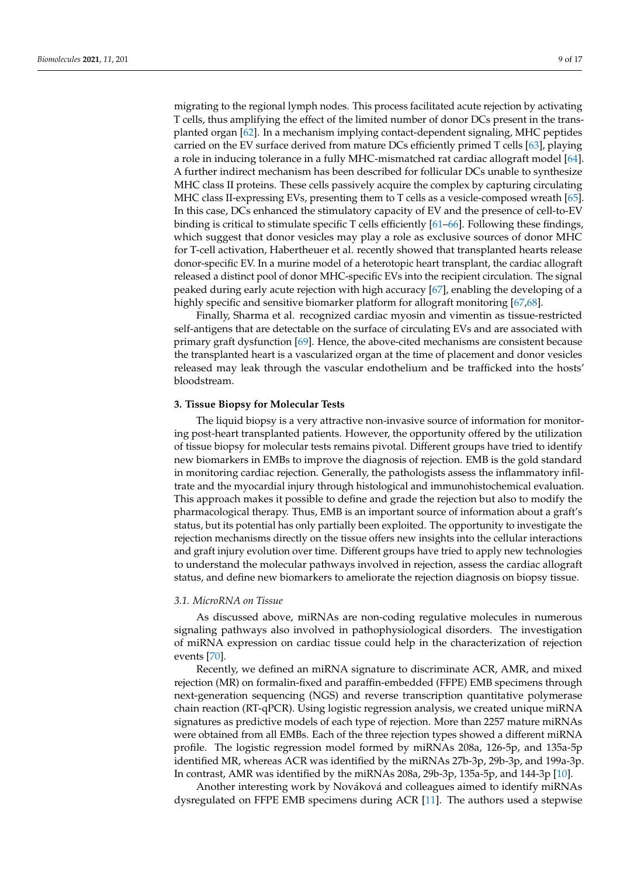migrating to the regional lymph nodes. This process facilitated acute rejection by activating T cells, thus amplifying the effect of the limited number of donor DCs present in the transplanted organ [\[62\]](#page-15-21). In a mechanism implying contact-dependent signaling, MHC peptides carried on the EV surface derived from mature DCs efficiently primed T cells [\[63\]](#page-16-0), playing a role in inducing tolerance in a fully MHC-mismatched rat cardiac allograft model [\[64\]](#page-16-1). A further indirect mechanism has been described for follicular DCs unable to synthesize MHC class II proteins. These cells passively acquire the complex by capturing circulating MHC class II-expressing EVs, presenting them to T cells as a vesicle-composed wreath [\[65\]](#page-16-2). In this case, DCs enhanced the stimulatory capacity of EV and the presence of cell-to-EV binding is critical to stimulate specific T cells efficiently [\[61](#page-15-20)[–66\]](#page-16-3). Following these findings, which suggest that donor vesicles may play a role as exclusive sources of donor MHC for T-cell activation, Habertheuer et al. recently showed that transplanted hearts release donor-specific EV. In a murine model of a heterotopic heart transplant, the cardiac allograft released a distinct pool of donor MHC-specific EVs into the recipient circulation. The signal peaked during early acute rejection with high accuracy [\[67\]](#page-16-4), enabling the developing of a highly specific and sensitive biomarker platform for allograft monitoring [\[67,](#page-16-4)[68\]](#page-16-5).

Finally, Sharma et al. recognized cardiac myosin and vimentin as tissue-restricted self-antigens that are detectable on the surface of circulating EVs and are associated with primary graft dysfunction [\[69\]](#page-16-6). Hence, the above-cited mechanisms are consistent because the transplanted heart is a vascularized organ at the time of placement and donor vesicles released may leak through the vascular endothelium and be trafficked into the hosts' bloodstream.

## **3. Tissue Biopsy for Molecular Tests**

The liquid biopsy is a very attractive non-invasive source of information for monitoring post-heart transplanted patients. However, the opportunity offered by the utilization of tissue biopsy for molecular tests remains pivotal. Different groups have tried to identify new biomarkers in EMBs to improve the diagnosis of rejection. EMB is the gold standard in monitoring cardiac rejection. Generally, the pathologists assess the inflammatory infiltrate and the myocardial injury through histological and immunohistochemical evaluation. This approach makes it possible to define and grade the rejection but also to modify the pharmacological therapy. Thus, EMB is an important source of information about a graft's status, but its potential has only partially been exploited. The opportunity to investigate the rejection mechanisms directly on the tissue offers new insights into the cellular interactions and graft injury evolution over time. Different groups have tried to apply new technologies to understand the molecular pathways involved in rejection, assess the cardiac allograft status, and define new biomarkers to ameliorate the rejection diagnosis on biopsy tissue.

#### *3.1. MicroRNA on Tissue*

As discussed above, miRNAs are non-coding regulative molecules in numerous signaling pathways also involved in pathophysiological disorders. The investigation of miRNA expression on cardiac tissue could help in the characterization of rejection events [\[70\]](#page-16-7).

Recently, we defined an miRNA signature to discriminate ACR, AMR, and mixed rejection (MR) on formalin-fixed and paraffin-embedded (FFPE) EMB specimens through next-generation sequencing (NGS) and reverse transcription quantitative polymerase chain reaction (RT-qPCR). Using logistic regression analysis, we created unique miRNA signatures as predictive models of each type of rejection. More than 2257 mature miRNAs were obtained from all EMBs. Each of the three rejection types showed a different miRNA profile. The logistic regression model formed by miRNAs 208a, 126-5p, and 135a-5p identified MR, whereas ACR was identified by the miRNAs 27b-3p, 29b-3p, and 199a-3p. In contrast, AMR was identified by the miRNAs 208a, 29b-3p, 135a-5p, and 144-3p [\[10\]](#page-13-9).

Another interesting work by Nováková and colleagues aimed to identify miRNAs dysregulated on FFPE EMB specimens during ACR [\[11\]](#page-13-10). The authors used a stepwise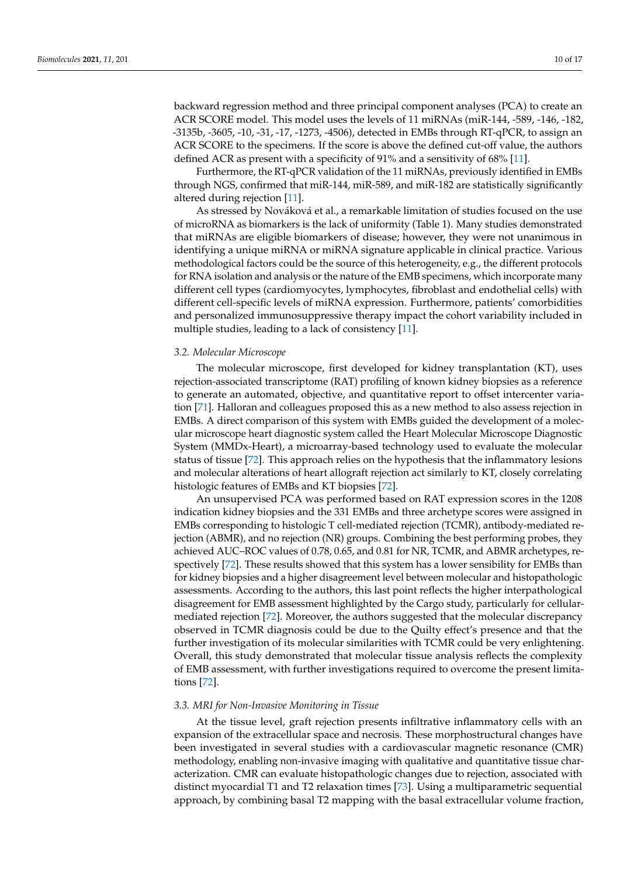backward regression method and three principal component analyses (PCA) to create an ACR SCORE model. This model uses the levels of 11 miRNAs (miR-144, -589, -146, -182, -3135b, -3605, -10, -31, -17, -1273, -4506), detected in EMBs through RT-qPCR, to assign an ACR SCORE to the specimens. If the score is above the defined cut-off value, the authors defined ACR as present with a specificity of 91% and a sensitivity of 68% [\[11\]](#page-13-10).

Furthermore, the RT-qPCR validation of the 11 miRNAs, previously identified in EMBs through NGS, confirmed that miR-144, miR-589, and miR-182 are statistically significantly altered during rejection [\[11\]](#page-13-10).

As stressed by Nováková et al., a remarkable limitation of studies focused on the use of microRNA as biomarkers is the lack of uniformity (Table 1). Many studies demonstrated that miRNAs are eligible biomarkers of disease; however, they were not unanimous in identifying a unique miRNA or miRNA signature applicable in clinical practice. Various methodological factors could be the source of this heterogeneity, e.g., the different protocols for RNA isolation and analysis or the nature of the EMB specimens, which incorporate many different cell types (cardiomyocytes, lymphocytes, fibroblast and endothelial cells) with different cell-specific levels of miRNA expression. Furthermore, patients' comorbidities and personalized immunosuppressive therapy impact the cohort variability included in multiple studies, leading to a lack of consistency [\[11\]](#page-13-10).

#### *3.2. Molecular Microscope*

The molecular microscope, first developed for kidney transplantation (KT), uses rejection-associated transcriptome (RAT) profiling of known kidney biopsies as a reference to generate an automated, objective, and quantitative report to offset intercenter variation [\[71\]](#page-16-8). Halloran and colleagues proposed this as a new method to also assess rejection in EMBs. A direct comparison of this system with EMBs guided the development of a molecular microscope heart diagnostic system called the Heart Molecular Microscope Diagnostic System (MMDx-Heart), a microarray-based technology used to evaluate the molecular status of tissue [\[72\]](#page-16-9). This approach relies on the hypothesis that the inflammatory lesions and molecular alterations of heart allograft rejection act similarly to KT, closely correlating histologic features of EMBs and KT biopsies [\[72\]](#page-16-9).

An unsupervised PCA was performed based on RAT expression scores in the 1208 indication kidney biopsies and the 331 EMBs and three archetype scores were assigned in EMBs corresponding to histologic T cell-mediated rejection (TCMR), antibody-mediated rejection (ABMR), and no rejection (NR) groups. Combining the best performing probes, they achieved AUC–ROC values of 0.78, 0.65, and 0.81 for NR, TCMR, and ABMR archetypes, respectively [\[72\]](#page-16-9). These results showed that this system has a lower sensibility for EMBs than for kidney biopsies and a higher disagreement level between molecular and histopathologic assessments. According to the authors, this last point reflects the higher interpathological disagreement for EMB assessment highlighted by the Cargo study, particularly for cellularmediated rejection [\[72\]](#page-16-9). Moreover, the authors suggested that the molecular discrepancy observed in TCMR diagnosis could be due to the Quilty effect's presence and that the further investigation of its molecular similarities with TCMR could be very enlightening. Overall, this study demonstrated that molecular tissue analysis reflects the complexity of EMB assessment, with further investigations required to overcome the present limitations [\[72\]](#page-16-9).

#### *3.3. MRI for Non-Invasive Monitoring in Tissue*

At the tissue level, graft rejection presents infiltrative inflammatory cells with an expansion of the extracellular space and necrosis. These morphostructural changes have been investigated in several studies with a cardiovascular magnetic resonance (CMR) methodology, enabling non-invasive imaging with qualitative and quantitative tissue characterization. CMR can evaluate histopathologic changes due to rejection, associated with distinct myocardial T1 and T2 relaxation times [\[73\]](#page-16-10). Using a multiparametric sequential approach, by combining basal T2 mapping with the basal extracellular volume fraction,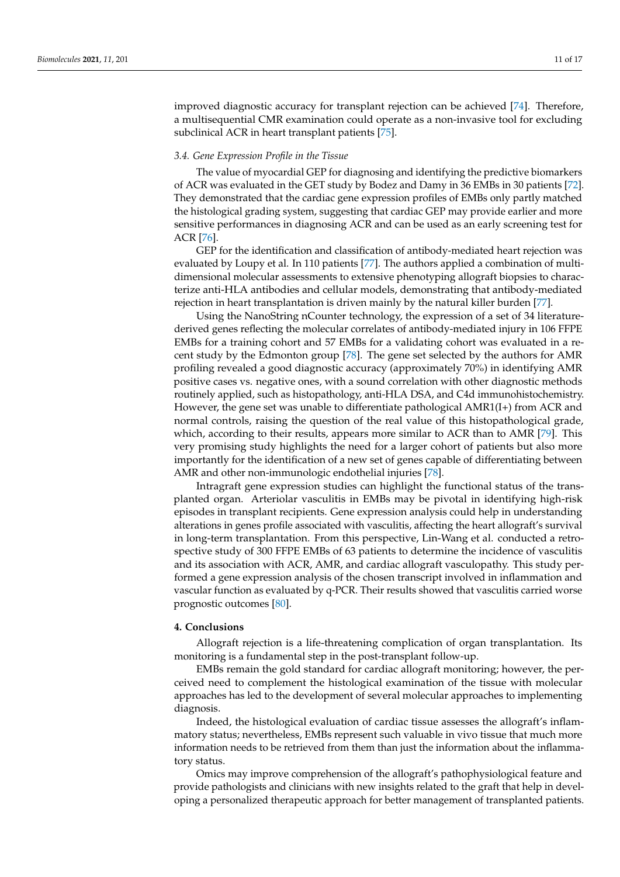improved diagnostic accuracy for transplant rejection can be achieved [\[74\]](#page-16-11). Therefore, a multisequential CMR examination could operate as a non-invasive tool for excluding subclinical ACR in heart transplant patients [\[75\]](#page-16-12).

#### *3.4. Gene Expression Profile in the Tissue*

The value of myocardial GEP for diagnosing and identifying the predictive biomarkers of ACR was evaluated in the GET study by Bodez and Damy in 36 EMBs in 30 patients [\[72\]](#page-16-9). They demonstrated that the cardiac gene expression profiles of EMBs only partly matched the histological grading system, suggesting that cardiac GEP may provide earlier and more sensitive performances in diagnosing ACR and can be used as an early screening test for ACR [\[76\]](#page-16-13).

GEP for the identification and classification of antibody-mediated heart rejection was evaluated by Loupy et al. In 110 patients [\[77\]](#page-16-14). The authors applied a combination of multidimensional molecular assessments to extensive phenotyping allograft biopsies to characterize anti-HLA antibodies and cellular models, demonstrating that antibody-mediated rejection in heart transplantation is driven mainly by the natural killer burden [\[77\]](#page-16-14).

Using the NanoString nCounter technology, the expression of a set of 34 literaturederived genes reflecting the molecular correlates of antibody-mediated injury in 106 FFPE EMBs for a training cohort and 57 EMBs for a validating cohort was evaluated in a recent study by the Edmonton group [\[78\]](#page-16-15). The gene set selected by the authors for AMR profiling revealed a good diagnostic accuracy (approximately 70%) in identifying AMR positive cases vs. negative ones, with a sound correlation with other diagnostic methods routinely applied, such as histopathology, anti-HLA DSA, and C4d immunohistochemistry. However, the gene set was unable to differentiate pathological AMR1(I+) from ACR and normal controls, raising the question of the real value of this histopathological grade, which, according to their results, appears more similar to ACR than to AMR [\[79\]](#page-16-16). This very promising study highlights the need for a larger cohort of patients but also more importantly for the identification of a new set of genes capable of differentiating between AMR and other non-immunologic endothelial injuries [\[78\]](#page-16-15).

Intragraft gene expression studies can highlight the functional status of the transplanted organ. Arteriolar vasculitis in EMBs may be pivotal in identifying high-risk episodes in transplant recipients. Gene expression analysis could help in understanding alterations in genes profile associated with vasculitis, affecting the heart allograft's survival in long-term transplantation. From this perspective, Lin-Wang et al. conducted a retrospective study of 300 FFPE EMBs of 63 patients to determine the incidence of vasculitis and its association with ACR, AMR, and cardiac allograft vasculopathy. This study performed a gene expression analysis of the chosen transcript involved in inflammation and vascular function as evaluated by q-PCR. Their results showed that vasculitis carried worse prognostic outcomes [\[80\]](#page-16-17).

#### **4. Conclusions**

Allograft rejection is a life-threatening complication of organ transplantation. Its monitoring is a fundamental step in the post-transplant follow-up.

EMBs remain the gold standard for cardiac allograft monitoring; however, the perceived need to complement the histological examination of the tissue with molecular approaches has led to the development of several molecular approaches to implementing diagnosis.

Indeed, the histological evaluation of cardiac tissue assesses the allograft's inflammatory status; nevertheless, EMBs represent such valuable in vivo tissue that much more information needs to be retrieved from them than just the information about the inflammatory status.

Omics may improve comprehension of the allograft's pathophysiological feature and provide pathologists and clinicians with new insights related to the graft that help in developing a personalized therapeutic approach for better management of transplanted patients.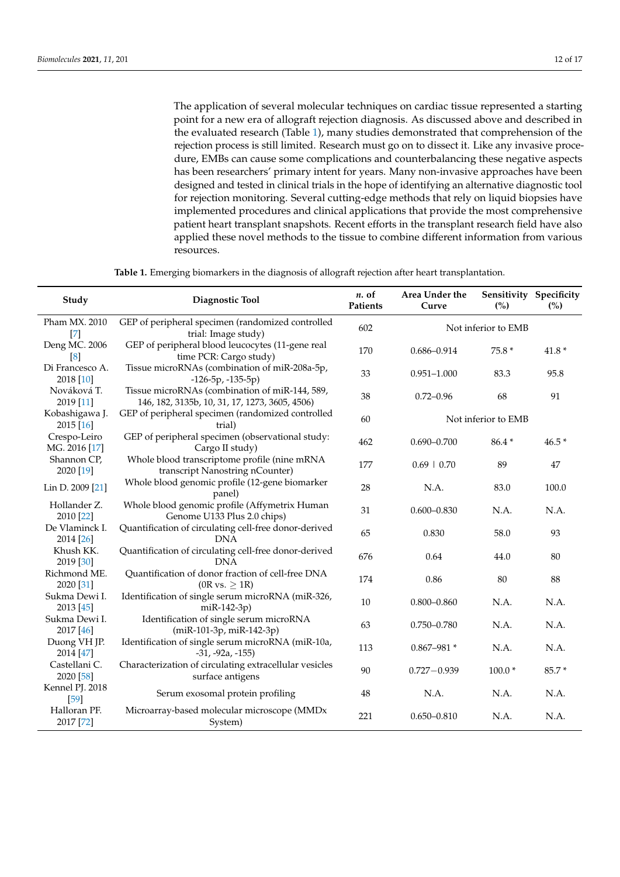The application of several molecular techniques on cardiac tissue represented a starting point for a new era of allograft rejection diagnosis. As discussed above and described in the evaluated research (Table [1\)](#page-12-0), many studies demonstrated that comprehension of the rejection process is still limited. Research must go on to dissect it. Like any invasive procedure, EMBs can cause some complications and counterbalancing these negative aspects has been researchers' primary intent for years. Many non-invasive approaches have been designed and tested in clinical trials in the hope of identifying an alternative diagnostic tool for rejection monitoring. Several cutting-edge methods that rely on liquid biopsies have implemented procedures and clinical applications that provide the most comprehensive patient heart transplant snapshots. Recent efforts in the transplant research field have also applied these novel methods to the tissue to combine different information from various resources.

**Table 1.** Emerging biomarkers in the diagnosis of allograft rejection after heart transplantation.

| Study                         | Diagnostic Tool                                                                                  | $n.$ of<br>Patients | Area Under the<br>Curve | (%)      | Sensitivity Specificity<br>(%) |
|-------------------------------|--------------------------------------------------------------------------------------------------|---------------------|-------------------------|----------|--------------------------------|
| Pham MX. 2010<br>$[7]$        | GEP of peripheral specimen (randomized controlled<br>trial: Image study)                         | 602                 | Not inferior to EMB     |          |                                |
| Deng MC. 2006<br>[8]          | GEP of peripheral blood leucocytes (11-gene real<br>time PCR: Cargo study)                       | 170                 | $0.686 - 0.914$         | 75.8 *   | $41.8*$                        |
| Di Francesco A.<br>2018 [10]  | Tissue microRNAs (combination of miR-208a-5p,<br>$-126-5p, -135-5p)$                             | 33                  | $0.951 - 1.000$         | 83.3     | 95.8                           |
| Nováková T.<br>2019 [11]      | Tissue microRNAs (combination of miR-144, 589,<br>146, 182, 3135b, 10, 31, 17, 1273, 3605, 4506) | 38                  | $0.72 - 0.96$           | 68       | 91                             |
| Kobashigawa J.<br>2015 [16]   | GEP of peripheral specimen (randomized controlled<br>trial)                                      | 60                  | Not inferior to EMB     |          |                                |
| Crespo-Leiro<br>MG. 2016 [17] | GEP of peripheral specimen (observational study:<br>Cargo II study)                              | 462                 | $0.690 - 0.700$         | 86.4 *   | $46.5*$                        |
| Shannon CP,<br>2020 [19]      | Whole blood transcriptome profile (nine mRNA<br>transcript Nanostring nCounter)                  | 177                 | $0.69 \pm 0.70$         | 89       | 47                             |
| Lin D. 2009 [21]              | Whole blood genomic profile (12-gene biomarker<br>panel)                                         | 28                  | N.A.                    | 83.0     | 100.0                          |
| Hollander Z.<br>2010 [22]     | Whole blood genomic profile (Affymetrix Human<br>Genome U133 Plus 2.0 chips)                     | 31                  | $0.600 - 0.830$         | N.A.     | N.A.                           |
| De Vlaminck I.<br>2014 [26]   | Quantification of circulating cell-free donor-derived<br><b>DNA</b>                              | 65                  | 0.830                   | 58.0     | 93                             |
| Khush KK.<br>2019 [30]        | Quantification of circulating cell-free donor-derived<br><b>DNA</b>                              | 676                 | 0.64                    | 44.0     | 80                             |
| Richmond ME.<br>2020 [31]     | Quantification of donor fraction of cell-free DNA<br>$(0R \text{ vs. } \geq 1R)$                 | 174                 | 0.86                    | 80       | 88                             |
| Sukma Dewi I.<br>2013 [45]    | Identification of single serum microRNA (miR-326,<br>miR-142-3p)                                 | 10                  | $0.800 - 0.860$         | N.A.     | N.A.                           |
| Sukma Dewi I.<br>2017 [46]    | Identification of single serum microRNA<br>(miR-101-3p, miR-142-3p)                              | 63                  | $0.750 - 0.780$         | N.A.     | N.A.                           |
| Duong VH JP.<br>2014 [47]     | Identification of single serum microRNA (miR-10a,<br>$-31, -92a, -155$                           | 113                 | $0.867 - 981*$          | N.A.     | N.A.                           |
| Castellani C.<br>2020 [58]    | Characterization of circulating extracellular vesicles<br>surface antigens                       | 90                  | $0.727 - 0.939$         | $100.0*$ | 85.7*                          |
| Kennel PJ. 2018<br>[59]       | Serum exosomal protein profiling                                                                 | 48                  | N.A.                    | N.A.     | N.A.                           |
| Halloran PF.<br>2017 [72]     | Microarray-based molecular microscope (MMDx<br>System)                                           | 221                 | $0.650 - 0.810$         | N.A.     | N.A.                           |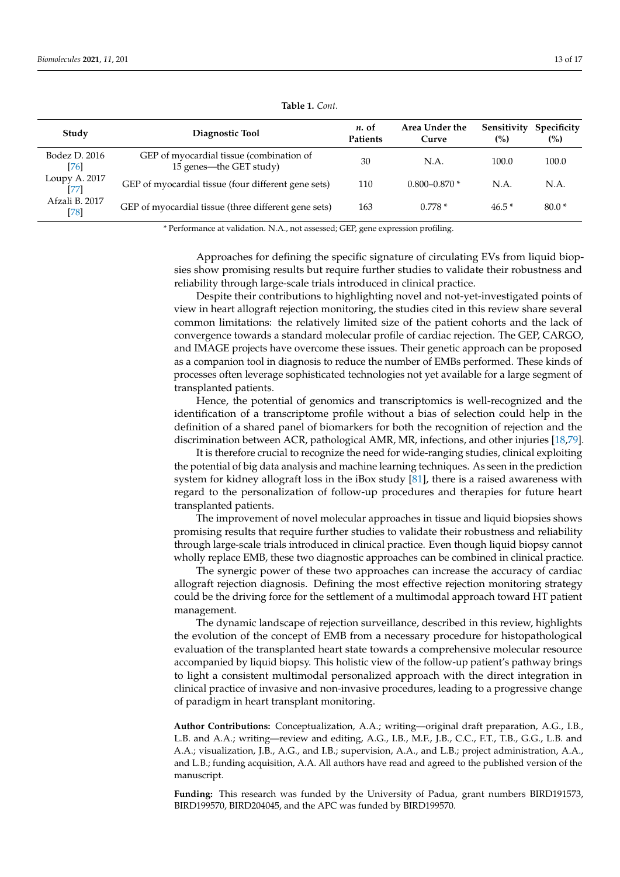<span id="page-12-0"></span>

| Study                    | Diagnostic Tool                                                     | $n.$ of<br><b>Patients</b> | Area Under the<br>Curve | Sensitivity<br>(%) | Specificity<br>$(\%)$ |
|--------------------------|---------------------------------------------------------------------|----------------------------|-------------------------|--------------------|-----------------------|
| Bodez D. 2016<br>[76]    | GEP of myocardial tissue (combination of<br>15 genes—the GET study) | 30                         | N.A.                    | 100.0              | 100.0                 |
| Loupy A. 2017<br>[77]    | GEP of myocardial tissue (four different gene sets)                 | 110                        | $0.800 - 0.870$ *       | N.A.               | N.A.                  |
| Afzali B. 2017<br>$[78]$ | GEP of myocardial tissue (three different gene sets)                | 163                        | $0.778*$                | $46.5*$            | $80.0*$               |

|  |  | Table 1. Cont. |
|--|--|----------------|
|--|--|----------------|

\* Performance at validation. N.A., not assessed; GEP, gene expression profiling.

Approaches for defining the specific signature of circulating EVs from liquid biopsies show promising results but require further studies to validate their robustness and reliability through large-scale trials introduced in clinical practice.

Despite their contributions to highlighting novel and not-yet-investigated points of view in heart allograft rejection monitoring, the studies cited in this review share several common limitations: the relatively limited size of the patient cohorts and the lack of convergence towards a standard molecular profile of cardiac rejection. The GEP, CARGO, and IMAGE projects have overcome these issues. Their genetic approach can be proposed as a companion tool in diagnosis to reduce the number of EMBs performed. These kinds of processes often leverage sophisticated technologies not yet available for a large segment of transplanted patients.

Hence, the potential of genomics and transcriptomics is well-recognized and the identification of a transcriptome profile without a bias of selection could help in the definition of a shared panel of biomarkers for both the recognition of rejection and the discrimination between ACR, pathological AMR, MR, infections, and other injuries [\[18](#page-14-0)[,79\]](#page-16-16).

It is therefore crucial to recognize the need for wide-ranging studies, clinical exploiting the potential of big data analysis and machine learning techniques. As seen in the prediction system for kidney allograft loss in the iBox study [\[81\]](#page-16-18), there is a raised awareness with regard to the personalization of follow-up procedures and therapies for future heart transplanted patients.

The improvement of novel molecular approaches in tissue and liquid biopsies shows promising results that require further studies to validate their robustness and reliability through large-scale trials introduced in clinical practice. Even though liquid biopsy cannot wholly replace EMB, these two diagnostic approaches can be combined in clinical practice.

The synergic power of these two approaches can increase the accuracy of cardiac allograft rejection diagnosis. Defining the most effective rejection monitoring strategy could be the driving force for the settlement of a multimodal approach toward HT patient management.

The dynamic landscape of rejection surveillance, described in this review, highlights the evolution of the concept of EMB from a necessary procedure for histopathological evaluation of the transplanted heart state towards a comprehensive molecular resource accompanied by liquid biopsy. This holistic view of the follow-up patient's pathway brings to light a consistent multimodal personalized approach with the direct integration in clinical practice of invasive and non-invasive procedures, leading to a progressive change of paradigm in heart transplant monitoring.

**Author Contributions:** Conceptualization, A.A.; writing—original draft preparation, A.G., I.B., L.B. and A.A.; writing—review and editing, A.G., I.B., M.F., J.B., C.C., F.T., T.B., G.G., L.B. and A.A.; visualization, J.B., A.G., and I.B.; supervision, A.A., and L.B.; project administration, A.A., and L.B.; funding acquisition, A.A. All authors have read and agreed to the published version of the manuscript.

**Funding:** This research was funded by the University of Padua, grant numbers BIRD191573, BIRD199570, BIRD204045, and the APC was funded by BIRD199570.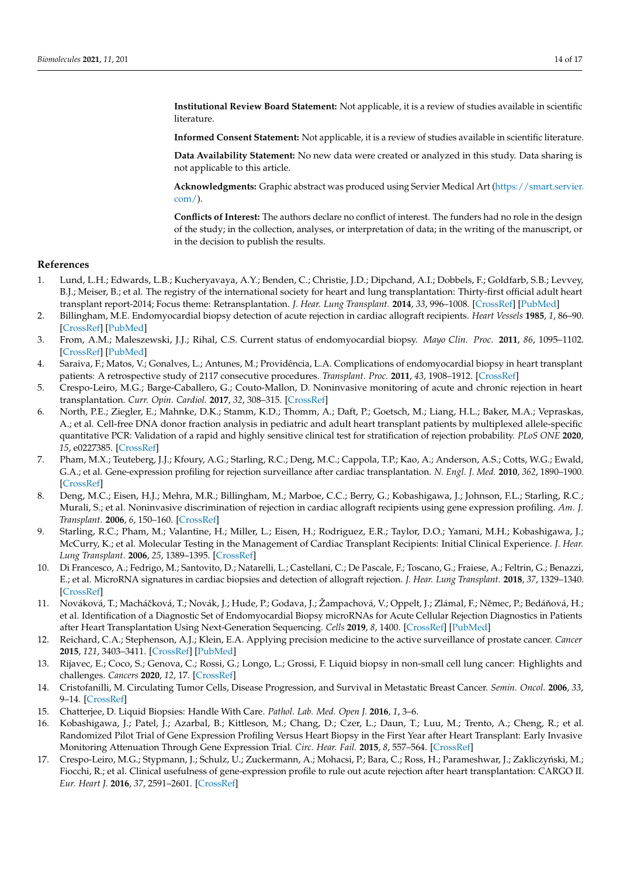**Institutional Review Board Statement:** Not applicable, it is a review of studies available in scientific literature.

**Informed Consent Statement:** Not applicable, it is a review of studies available in scientific literature.

**Data Availability Statement:** No new data were created or analyzed in this study. Data sharing is not applicable to this article.

**Acknowledgments:** Graphic abstract was produced using Servier Medical Art [\(https://smart.servier.](https://smart.servier.com/) [com/\)](https://smart.servier.com/).

**Conflicts of Interest:** The authors declare no conflict of interest. The funders had no role in the design of the study; in the collection, analyses, or interpretation of data; in the writing of the manuscript, or in the decision to publish the results.

#### **References**

- <span id="page-13-0"></span>1. Lund, L.H.; Edwards, L.B.; Kucheryavaya, A.Y.; Benden, C.; Christie, J.D.; Dipchand, A.I.; Dobbels, F.; Goldfarb, S.B.; Levvey, B.J.; Meiser, B.; et al. The registry of the international society for heart and lung transplantation: Thirty-first official adult heart transplant report-2014; Focus theme: Retransplantation. *J. Hear. Lung Transplant.* **2014**, *33*, 996–1008. [\[CrossRef\]](http://doi.org/10.1016/j.healun.2014.08.003) [\[PubMed\]](http://www.ncbi.nlm.nih.gov/pubmed/25242124)
- <span id="page-13-1"></span>2. Billingham, M.E. Endomyocardial biopsy detection of acute rejection in cardiac allograft recipients. *Heart Vessels* **1985**, *1*, 86–90. [\[CrossRef\]](http://doi.org/10.1007/BF02072369) [\[PubMed\]](http://www.ncbi.nlm.nih.gov/pubmed/3916480)
- <span id="page-13-2"></span>3. From, A.M.; Maleszewski, J.J.; Rihal, C.S. Current status of endomyocardial biopsy. *Mayo Clin. Proc.* **2011**, *86*, 1095–1102. [\[CrossRef\]](http://doi.org/10.4065/mcp.2011.0296) [\[PubMed\]](http://www.ncbi.nlm.nih.gov/pubmed/22033254)
- <span id="page-13-3"></span>4. Saraiva, F.; Matos, V.; Gonalves, L.; Antunes, M.; Providência, L.A. Complications of endomyocardial biopsy in heart transplant patients: A retrospective study of 2117 consecutive procedures. *Transplant. Proc.* **2011**, *43*, 1908–1912. [\[CrossRef\]](http://doi.org/10.1016/j.transproceed.2011.03.010)
- <span id="page-13-4"></span>5. Crespo-Leiro, M.G.; Barge-Caballero, G.; Couto-Mallon, D. Noninvasive monitoring of acute and chronic rejection in heart transplantation. *Curr. Opin. Cardiol.* **2017**, *32*, 308–315. [\[CrossRef\]](http://doi.org/10.1097/HCO.0000000000000400)
- <span id="page-13-5"></span>6. North, P.E.; Ziegler, E.; Mahnke, D.K.; Stamm, K.D.; Thomm, A.; Daft, P.; Goetsch, M.; Liang, H.L.; Baker, M.A.; Vepraskas, A.; et al. Cell-free DNA donor fraction analysis in pediatric and adult heart transplant patients by multiplexed allele-specific quantitative PCR: Validation of a rapid and highly sensitive clinical test for stratification of rejection probability. *PLoS ONE* **2020**, *15*, e0227385. [\[CrossRef\]](http://doi.org/10.1371/journal.pone.0227385)
- <span id="page-13-6"></span>7. Pham, M.X.; Teuteberg, J.J.; Kfoury, A.G.; Starling, R.C.; Deng, M.C.; Cappola, T.P.; Kao, A.; Anderson, A.S.; Cotts, W.G.; Ewald, G.A.; et al. Gene-expression profiling for rejection surveillance after cardiac transplantation. *N. Engl. J. Med.* **2010**, *362*, 1890–1900. [\[CrossRef\]](http://doi.org/10.1056/NEJMoa0912965)
- <span id="page-13-7"></span>8. Deng, M.C.; Eisen, H.J.; Mehra, M.R.; Billingham, M.; Marboe, C.C.; Berry, G.; Kobashigawa, J.; Johnson, F.L.; Starling, R.C.; Murali, S.; et al. Noninvasive discrimination of rejection in cardiac allograft recipients using gene expression profiling. *Am. J. Transplant.* **2006**, *6*, 150–160. [\[CrossRef\]](http://doi.org/10.1111/j.1600-6143.2005.01175.x)
- <span id="page-13-8"></span>9. Starling, R.C.; Pham, M.; Valantine, H.; Miller, L.; Eisen, H.; Rodriguez, E.R.; Taylor, D.O.; Yamani, M.H.; Kobashigawa, J.; McCurry, K.; et al. Molecular Testing in the Management of Cardiac Transplant Recipients: Initial Clinical Experience. *J. Hear. Lung Transplant.* **2006**, *25*, 1389–1395. [\[CrossRef\]](http://doi.org/10.1016/j.healun.2006.10.002)
- <span id="page-13-9"></span>10. Di Francesco, A.; Fedrigo, M.; Santovito, D.; Natarelli, L.; Castellani, C.; De Pascale, F.; Toscano, G.; Fraiese, A.; Feltrin, G.; Benazzi, E.; et al. MicroRNA signatures in cardiac biopsies and detection of allograft rejection. *J. Hear. Lung Transplant.* **2018**, *37*, 1329–1340. [\[CrossRef\]](http://doi.org/10.1016/j.healun.2018.06.010)
- <span id="page-13-10"></span>11. Nováková, T.; Macháčková, T.; Novák, J.; Hude, P.; Godava, J.; Žampachová, V.; Oppelt, J.; Zlámal, F.; Němec, P.; Bedáňová, H.; et al. Identification of a Diagnostic Set of Endomyocardial Biopsy microRNAs for Acute Cellular Rejection Diagnostics in Patients after Heart Transplantation Using Next-Generation Sequencing. *Cells* **2019**, *8*, 1400. [\[CrossRef\]](http://doi.org/10.3390/cells8111400) [\[PubMed\]](http://www.ncbi.nlm.nih.gov/pubmed/31698874)
- <span id="page-13-11"></span>12. Reichard, C.A.; Stephenson, A.J.; Klein, E.A. Applying precision medicine to the active surveillance of prostate cancer. *Cancer* **2015**, *121*, 3403–3411. [\[CrossRef\]](http://doi.org/10.1002/cncr.29496) [\[PubMed\]](http://www.ncbi.nlm.nih.gov/pubmed/26149066)
- 13. Rijavec, E.; Coco, S.; Genova, C.; Rossi, G.; Longo, L.; Grossi, F. Liquid biopsy in non-small cell lung cancer: Highlights and challenges. *Cancers* **2020**, *12*, 17. [\[CrossRef\]](http://doi.org/10.3390/cancers12010017)
- <span id="page-13-12"></span>14. Cristofanilli, M. Circulating Tumor Cells, Disease Progression, and Survival in Metastatic Breast Cancer. *Semin. Oncol.* **2006**, *33*, 9–14. [\[CrossRef\]](http://doi.org/10.1053/j.seminoncol.2006.03.016)
- <span id="page-13-13"></span>15. Chatterjee, D. Liquid Biopsies: Handle With Care. *Pathol. Lab. Med. Open J.* **2016**, *1*, 3–6.
- <span id="page-13-14"></span>16. Kobashigawa, J.; Patel, J.; Azarbal, B.; Kittleson, M.; Chang, D.; Czer, L.; Daun, T.; Luu, M.; Trento, A.; Cheng, R.; et al. Randomized Pilot Trial of Gene Expression Profiling Versus Heart Biopsy in the First Year after Heart Transplant: Early Invasive Monitoring Attenuation Through Gene Expression Trial. *Circ. Hear. Fail.* **2015**, *8*, 557–564. [\[CrossRef\]](http://doi.org/10.1161/CIRCHEARTFAILURE.114.001658)
- <span id="page-13-15"></span>17. Crespo-Leiro, M.G.; Stypmann, J.; Schulz, U.; Zuckermann, A.; Mohacsi, P.; Bara, C.; Ross, H.; Parameshwar, J.; Zakliczyński, M.; Fiocchi, R.; et al. Clinical usefulness of gene-expression profile to rule out acute rejection after heart transplantation: CARGO II. *Eur. Heart J.* **2016**, *37*, 2591–2601. [\[CrossRef\]](http://doi.org/10.1093/eurheartj/ehv682)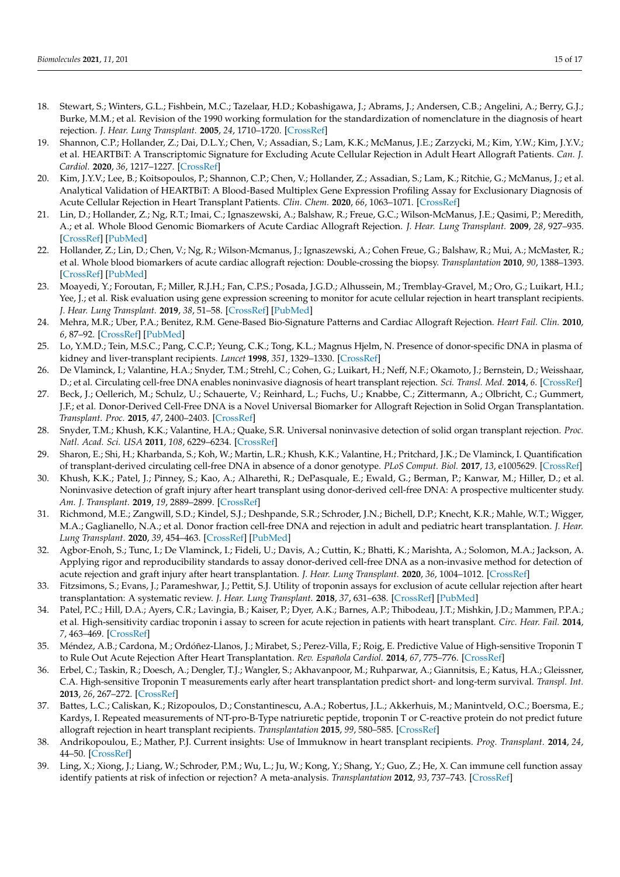- <span id="page-14-0"></span>18. Stewart, S.; Winters, G.L.; Fishbein, M.C.; Tazelaar, H.D.; Kobashigawa, J.; Abrams, J.; Andersen, C.B.; Angelini, A.; Berry, G.J.; Burke, M.M.; et al. Revision of the 1990 working formulation for the standardization of nomenclature in the diagnosis of heart rejection. *J. Hear. Lung Transplant.* **2005**, *24*, 1710–1720. [\[CrossRef\]](http://doi.org/10.1016/j.healun.2005.03.019)
- <span id="page-14-1"></span>19. Shannon, C.P.; Hollander, Z.; Dai, D.L.Y.; Chen, V.; Assadian, S.; Lam, K.K.; McManus, J.E.; Zarzycki, M.; Kim, Y.W.; Kim, J.Y.V.; et al. HEARTBiT: A Transcriptomic Signature for Excluding Acute Cellular Rejection in Adult Heart Allograft Patients. *Can. J. Cardiol.* **2020**, *36*, 1217–1227. [\[CrossRef\]](http://doi.org/10.1016/j.cjca.2019.11.017)
- <span id="page-14-2"></span>20. Kim, J.Y.V.; Lee, B.; Koitsopoulos, P.; Shannon, C.P.; Chen, V.; Hollander, Z.; Assadian, S.; Lam, K.; Ritchie, G.; McManus, J.; et al. Analytical Validation of HEARTBiT: A Blood-Based Multiplex Gene Expression Profiling Assay for Exclusionary Diagnosis of Acute Cellular Rejection in Heart Transplant Patients. *Clin. Chem.* **2020**, *66*, 1063–1071. [\[CrossRef\]](http://doi.org/10.1093/clinchem/hvaa123)
- <span id="page-14-3"></span>21. Lin, D.; Hollander, Z.; Ng, R.T.; Imai, C.; Ignaszewski, A.; Balshaw, R.; Freue, G.C.; Wilson-McManus, J.E.; Qasimi, P.; Meredith, A.; et al. Whole Blood Genomic Biomarkers of Acute Cardiac Allograft Rejection. *J. Hear. Lung Transplant.* **2009**, *28*, 927–935. [\[CrossRef\]](http://doi.org/10.1016/j.healun.2009.04.025) [\[PubMed\]](http://www.ncbi.nlm.nih.gov/pubmed/19716046)
- <span id="page-14-4"></span>22. Hollander, Z.; Lin, D.; Chen, V.; Ng, R.; Wilson-Mcmanus, J.; Ignaszewski, A.; Cohen Freue, G.; Balshaw, R.; Mui, A.; McMaster, R.; et al. Whole blood biomarkers of acute cardiac allograft rejection: Double-crossing the biopsy. *Transplantation* **2010**, *90*, 1388–1393. [\[CrossRef\]](http://doi.org/10.1097/TP.0b013e3182003df6) [\[PubMed\]](http://www.ncbi.nlm.nih.gov/pubmed/21076371)
- <span id="page-14-5"></span>23. Moayedi, Y.; Foroutan, F.; Miller, R.J.H.; Fan, C.P.S.; Posada, J.G.D.; Alhussein, M.; Tremblay-Gravel, M.; Oro, G.; Luikart, H.I.; Yee, J.; et al. Risk evaluation using gene expression screening to monitor for acute cellular rejection in heart transplant recipients. *J. Hear. Lung Transplant.* **2019**, *38*, 51–58. [\[CrossRef\]](http://doi.org/10.1016/j.healun.2018.09.004) [\[PubMed\]](http://www.ncbi.nlm.nih.gov/pubmed/30352779)
- <span id="page-14-6"></span>24. Mehra, M.R.; Uber, P.A.; Benitez, R.M. Gene-Based Bio-Signature Patterns and Cardiac Allograft Rejection. *Heart Fail. Clin.* **2010**, *6*, 87–92. [\[CrossRef\]](http://doi.org/10.1016/j.hfc.2009.08.010) [\[PubMed\]](http://www.ncbi.nlm.nih.gov/pubmed/19945064)
- <span id="page-14-7"></span>25. Lo, Y.M.D.; Tein, M.S.C.; Pang, C.C.P.; Yeung, C.K.; Tong, K.L.; Magnus Hjelm, N. Presence of donor-specific DNA in plasma of kidney and liver-transplant recipients. *Lancet* **1998**, *351*, 1329–1330. [\[CrossRef\]](http://doi.org/10.1016/S0140-6736(05)79055-3)
- <span id="page-14-8"></span>26. De Vlaminck, I.; Valantine, H.A.; Snyder, T.M.; Strehl, C.; Cohen, G.; Luikart, H.; Neff, N.F.; Okamoto, J.; Bernstein, D.; Weisshaar, D.; et al. Circulating cell-free DNA enables noninvasive diagnosis of heart transplant rejection. *Sci. Transl. Med.* **2014**, *6*. [\[CrossRef\]](http://doi.org/10.1126/scitranslmed.3007803)
- 27. Beck, J.; Oellerich, M.; Schulz, U.; Schauerte, V.; Reinhard, L.; Fuchs, U.; Knabbe, C.; Zittermann, A.; Olbricht, C.; Gummert, J.F.; et al. Donor-Derived Cell-Free DNA is a Novel Universal Biomarker for Allograft Rejection in Solid Organ Transplantation. *Transplant. Proc.* **2015**, *47*, 2400–2403. [\[CrossRef\]](http://doi.org/10.1016/j.transproceed.2015.08.035)
- <span id="page-14-9"></span>28. Snyder, T.M.; Khush, K.K.; Valantine, H.A.; Quake, S.R. Universal noninvasive detection of solid organ transplant rejection. *Proc. Natl. Acad. Sci. USA* **2011**, *108*, 6229–6234. [\[CrossRef\]](http://doi.org/10.1073/pnas.1013924108)
- <span id="page-14-10"></span>29. Sharon, E.; Shi, H.; Kharbanda, S.; Koh, W.; Martin, L.R.; Khush, K.K.; Valantine, H.; Pritchard, J.K.; De Vlaminck, I. Quantification of transplant-derived circulating cell-free DNA in absence of a donor genotype. *PLoS Comput. Biol.* **2017**, *13*, e1005629. [\[CrossRef\]](http://doi.org/10.1371/journal.pcbi.1005629)
- <span id="page-14-11"></span>30. Khush, K.K.; Patel, J.; Pinney, S.; Kao, A.; Alharethi, R.; DePasquale, E.; Ewald, G.; Berman, P.; Kanwar, M.; Hiller, D.; et al. Noninvasive detection of graft injury after heart transplant using donor-derived cell-free DNA: A prospective multicenter study. *Am. J. Transplant.* **2019**, *19*, 2889–2899. [\[CrossRef\]](http://doi.org/10.1111/ajt.15339)
- <span id="page-14-12"></span>31. Richmond, M.E.; Zangwill, S.D.; Kindel, S.J.; Deshpande, S.R.; Schroder, J.N.; Bichell, D.P.; Knecht, K.R.; Mahle, W.T.; Wigger, M.A.; Gaglianello, N.A.; et al. Donor fraction cell-free DNA and rejection in adult and pediatric heart transplantation. *J. Hear. Lung Transplant.* **2020**, *39*, 454–463. [\[CrossRef\]](http://doi.org/10.1016/j.healun.2019.11.015) [\[PubMed\]](http://www.ncbi.nlm.nih.gov/pubmed/31983667)
- <span id="page-14-13"></span>32. Agbor-Enoh, S.; Tunc, I.; De Vlaminck, I.; Fideli, U.; Davis, A.; Cuttin, K.; Bhatti, K.; Marishta, A.; Solomon, M.A.; Jackson, A. Applying rigor and reproducibility standards to assay donor-derived cell-free DNA as a non-invasive method for detection of acute rejection and graft injury after heart transplantation. *J. Hear. Lung Transplant.* **2020**, *36*, 1004–1012. [\[CrossRef\]](http://doi.org/10.1016/j.healun.2017.05.026)
- <span id="page-14-14"></span>33. Fitzsimons, S.; Evans, J.; Parameshwar, J.; Pettit, S.J. Utility of troponin assays for exclusion of acute cellular rejection after heart transplantation: A systematic review. *J. Hear. Lung Transplant.* **2018**, *37*, 631–638. [\[CrossRef\]](http://doi.org/10.1016/j.healun.2017.12.008) [\[PubMed\]](http://www.ncbi.nlm.nih.gov/pubmed/29426716)
- 34. Patel, P.C.; Hill, D.A.; Ayers, C.R.; Lavingia, B.; Kaiser, P.; Dyer, A.K.; Barnes, A.P.; Thibodeau, J.T.; Mishkin, J.D.; Mammen, P.P.A.; et al. High-sensitivity cardiac troponin i assay to screen for acute rejection in patients with heart transplant. *Circ. Hear. Fail.* **2014**, *7*, 463–469. [\[CrossRef\]](http://doi.org/10.1161/CIRCHEARTFAILURE.113.000697)
- <span id="page-14-15"></span>35. Méndez, A.B.; Cardona, M.; Ordóñez-Llanos, J.; Mirabet, S.; Perez-Villa, F.; Roig, E. Predictive Value of High-sensitive Troponin T to Rule Out Acute Rejection After Heart Transplantation. *Rev. Española Cardiol.* **2014**, *67*, 775–776. [\[CrossRef\]](http://doi.org/10.1016/j.recesp.2014.04.013)
- <span id="page-14-16"></span>36. Erbel, C.; Taskin, R.; Doesch, A.; Dengler, T.J.; Wangler, S.; Akhavanpoor, M.; Ruhparwar, A.; Giannitsis, E.; Katus, H.A.; Gleissner, C.A. High-sensitive Troponin T measurements early after heart transplantation predict short- and long-term survival. *Transpl. Int.* **2013**, *26*, 267–272. [\[CrossRef\]](http://doi.org/10.1111/tri.12024)
- <span id="page-14-17"></span>37. Battes, L.C.; Caliskan, K.; Rizopoulos, D.; Constantinescu, A.A.; Robertus, J.L.; Akkerhuis, M.; Manintveld, O.C.; Boersma, E.; Kardys, I. Repeated measurements of NT-pro-B-Type natriuretic peptide, troponin T or C-reactive protein do not predict future allograft rejection in heart transplant recipients. *Transplantation* **2015**, *99*, 580–585. [\[CrossRef\]](http://doi.org/10.1097/TP.0000000000000378)
- <span id="page-14-18"></span>38. Andrikopoulou, E.; Mather, P.J. Current insights: Use of Immuknow in heart transplant recipients. *Prog. Transplant.* **2014**, *24*, 44–50. [\[CrossRef\]](http://doi.org/10.7182/pit2014664)
- <span id="page-14-19"></span>39. Ling, X.; Xiong, J.; Liang, W.; Schroder, P.M.; Wu, L.; Ju, W.; Kong, Y.; Shang, Y.; Guo, Z.; He, X. Can immune cell function assay identify patients at risk of infection or rejection? A meta-analysis. *Transplantation* **2012**, *93*, 737–743. [\[CrossRef\]](http://doi.org/10.1097/TP.0b013e3182466248)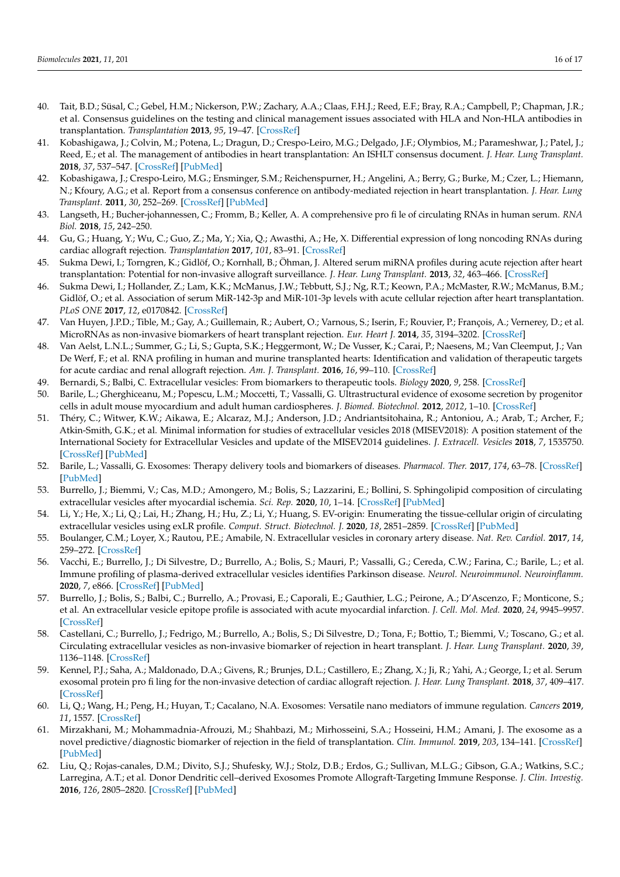- <span id="page-15-0"></span>40. Tait, B.D.; Süsal, C.; Gebel, H.M.; Nickerson, P.W.; Zachary, A.A.; Claas, F.H.J.; Reed, E.F.; Bray, R.A.; Campbell, P.; Chapman, J.R.; et al. Consensus guidelines on the testing and clinical management issues associated with HLA and Non-HLA antibodies in transplantation. *Transplantation* **2013**, *95*, 19–47. [\[CrossRef\]](http://doi.org/10.1097/TP.0b013e31827a19cc)
- <span id="page-15-1"></span>41. Kobashigawa, J.; Colvin, M.; Potena, L.; Dragun, D.; Crespo-Leiro, M.G.; Delgado, J.F.; Olymbios, M.; Parameshwar, J.; Patel, J.; Reed, E.; et al. The management of antibodies in heart transplantation: An ISHLT consensus document. *J. Hear. Lung Transplant.* **2018**, *37*, 537–547. [\[CrossRef\]](http://doi.org/10.1016/j.healun.2018.01.1291) [\[PubMed\]](http://www.ncbi.nlm.nih.gov/pubmed/29452978)
- <span id="page-15-2"></span>42. Kobashigawa, J.; Crespo-Leiro, M.G.; Ensminger, S.M.; Reichenspurner, H.; Angelini, A.; Berry, G.; Burke, M.; Czer, L.; Hiemann, N.; Kfoury, A.G.; et al. Report from a consensus conference on antibody-mediated rejection in heart transplantation. *J. Hear. Lung Transplant.* **2011**, *30*, 252–269. [\[CrossRef\]](http://doi.org/10.1016/j.healun.2010.11.003) [\[PubMed\]](http://www.ncbi.nlm.nih.gov/pubmed/21300295)
- <span id="page-15-3"></span>43. Langseth, H.; Bucher-johannessen, C.; Fromm, B.; Keller, A. A comprehensive pro fi le of circulating RNAs in human serum. *RNA Biol.* **2018**, *15*, 242–250.
- <span id="page-15-4"></span>44. Gu, G.; Huang, Y.; Wu, C.; Guo, Z.; Ma, Y.; Xia, Q.; Awasthi, A.; He, X. Differential expression of long noncoding RNAs during cardiac allograft rejection. *Transplantation* **2017**, *101*, 83–91. [\[CrossRef\]](http://doi.org/10.1097/TP.0000000000001463)
- <span id="page-15-5"></span>45. Sukma Dewi, I.; Torngren, K.; Gidlöf, O.; Kornhall, B.; Öhman, J. Altered serum miRNA profiles during acute rejection after heart transplantation: Potential for non-invasive allograft surveillance. *J. Hear. Lung Transplant.* **2013**, *32*, 463–466. [\[CrossRef\]](http://doi.org/10.1016/j.healun.2012.12.007)
- <span id="page-15-6"></span>46. Sukma Dewi, I.; Hollander, Z.; Lam, K.K.; McManus, J.W.; Tebbutt, S.J.; Ng, R.T.; Keown, P.A.; McMaster, R.W.; McManus, B.M.; Gidlöf, O.; et al. Association of serum MiR-142-3p and MiR-101-3p levels with acute cellular rejection after heart transplantation. *PLoS ONE* **2017**, *12*, e0170842. [\[CrossRef\]](http://doi.org/10.1371/journal.pone.0170842)
- <span id="page-15-7"></span>47. Van Huyen, J.P.D.; Tible, M.; Gay, A.; Guillemain, R.; Aubert, O.; Varnous, S.; Iserin, F.; Rouvier, P.; François, A.; Vernerey, D.; et al. MicroRNAs as non-invasive biomarkers of heart transplant rejection. *Eur. Heart J.* **2014**, *35*, 3194–3202. [\[CrossRef\]](http://doi.org/10.1093/eurheartj/ehu346)
- <span id="page-15-8"></span>48. Van Aelst, L.N.L.; Summer, G.; Li, S.; Gupta, S.K.; Heggermont, W.; De Vusser, K.; Carai, P.; Naesens, M.; Van Cleemput, J.; Van De Werf, F.; et al. RNA profiling in human and murine transplanted hearts: Identification and validation of therapeutic targets for acute cardiac and renal allograft rejection. *Am. J. Transplant.* **2016**, *16*, 99–110. [\[CrossRef\]](http://doi.org/10.1111/ajt.13421)
- <span id="page-15-9"></span>49. Bernardi, S.; Balbi, C. Extracellular vesicles: From biomarkers to therapeutic tools. *Biology* **2020**, *9*, 258. [\[CrossRef\]](http://doi.org/10.3390/biology9090258)
- 50. Barile, L.; Gherghiceanu, M.; Popescu, L.M.; Moccetti, T.; Vassalli, G. Ultrastructural evidence of exosome secretion by progenitor cells in adult mouse myocardium and adult human cardiospheres. *J. Biomed. Biotechnol.* **2012**, *2012*, 1–10. [\[CrossRef\]](http://doi.org/10.1155/2012/354605)
- <span id="page-15-10"></span>51. Théry, C.; Witwer, K.W.; Aikawa, E.; Alcaraz, M.J.; Anderson, J.D.; Andriantsitohaina, R.; Antoniou, A.; Arab, T.; Archer, F.; Atkin-Smith, G.K.; et al. Minimal information for studies of extracellular vesicles 2018 (MISEV2018): A position statement of the International Society for Extracellular Vesicles and update of the MISEV2014 guidelines. *J. Extracell. Vesicles* **2018**, *7*, 1535750. [\[CrossRef\]](http://doi.org/10.1080/20013078.2018.1535750) [\[PubMed\]](http://www.ncbi.nlm.nih.gov/pubmed/30637094)
- <span id="page-15-11"></span>52. Barile, L.; Vassalli, G. Exosomes: Therapy delivery tools and biomarkers of diseases. *Pharmacol. Ther.* **2017**, *174*, 63–78. [\[CrossRef\]](http://doi.org/10.1016/j.pharmthera.2017.02.020) [\[PubMed\]](http://www.ncbi.nlm.nih.gov/pubmed/28202367)
- <span id="page-15-12"></span>53. Burrello, J.; Biemmi, V.; Cas, M.D.; Amongero, M.; Bolis, S.; Lazzarini, E.; Bollini, S. Sphingolipid composition of circulating extracellular vesicles after myocardial ischemia. *Sci. Rep.* **2020**, *10*, 1–14. [\[CrossRef\]](http://doi.org/10.1038/s41598-020-73411-7) [\[PubMed\]](http://www.ncbi.nlm.nih.gov/pubmed/32999414)
- <span id="page-15-13"></span>54. Li, Y.; He, X.; Li, Q.; Lai, H.; Zhang, H.; Hu, Z.; Li, Y.; Huang, S. EV-origin: Enumerating the tissue-cellular origin of circulating extracellular vesicles using exLR profile. *Comput. Struct. Biotechnol. J.* **2020**, *18*, 2851–2859. [\[CrossRef\]](http://doi.org/10.1016/j.csbj.2020.10.002) [\[PubMed\]](http://www.ncbi.nlm.nih.gov/pubmed/33133426)
- <span id="page-15-14"></span>55. Boulanger, C.M.; Loyer, X.; Rautou, P.E.; Amabile, N. Extracellular vesicles in coronary artery disease. *Nat. Rev. Cardiol.* **2017**, *14*, 259–272. [\[CrossRef\]](http://doi.org/10.1038/nrcardio.2017.7)
- <span id="page-15-16"></span>56. Vacchi, E.; Burrello, J.; Di Silvestre, D.; Burrello, A.; Bolis, S.; Mauri, P.; Vassalli, G.; Cereda, C.W.; Farina, C.; Barile, L.; et al. Immune profiling of plasma-derived extracellular vesicles identifies Parkinson disease. *Neurol. Neuroimmunol. Neuroinflamm.* **2020**, *7*, e866. [\[CrossRef\]](http://doi.org/10.1212/NXI.0000000000000866) [\[PubMed\]](http://www.ncbi.nlm.nih.gov/pubmed/32817412)
- <span id="page-15-15"></span>57. Burrello, J.; Bolis, S.; Balbi, C.; Burrello, A.; Provasi, E.; Caporali, E.; Gauthier, L.G.; Peirone, A.; D'Ascenzo, F.; Monticone, S.; et al. An extracellular vesicle epitope profile is associated with acute myocardial infarction. *J. Cell. Mol. Med.* **2020**, *24*, 9945–9957. [\[CrossRef\]](http://doi.org/10.1111/jcmm.15594)
- <span id="page-15-17"></span>58. Castellani, C.; Burrello, J.; Fedrigo, M.; Burrello, A.; Bolis, S.; Di Silvestre, D.; Tona, F.; Bottio, T.; Biemmi, V.; Toscano, G.; et al. Circulating extracellular vesicles as non-invasive biomarker of rejection in heart transplant. *J. Hear. Lung Transplant.* **2020**, *39*, 1136–1148. [\[CrossRef\]](http://doi.org/10.1016/j.healun.2020.06.011)
- <span id="page-15-18"></span>59. Kennel, P.J.; Saha, A.; Maldonado, D.A.; Givens, R.; Brunjes, D.L.; Castillero, E.; Zhang, X.; Ji, R.; Yahi, A.; George, I.; et al. Serum exosomal protein pro fi ling for the non-invasive detection of cardiac allograft rejection. *J. Hear. Lung Transplant.* **2018**, *37*, 409–417. [\[CrossRef\]](http://doi.org/10.1016/j.healun.2017.07.012)
- <span id="page-15-19"></span>60. Li, Q.; Wang, H.; Peng, H.; Huyan, T.; Cacalano, N.A. Exosomes: Versatile nano mediators of immune regulation. *Cancers* **2019**, *11*, 1557. [\[CrossRef\]](http://doi.org/10.3390/cancers11101557)
- <span id="page-15-20"></span>61. Mirzakhani, M.; Mohammadnia-Afrouzi, M.; Shahbazi, M.; Mirhosseini, S.A.; Hosseini, H.M.; Amani, J. The exosome as a novel predictive/diagnostic biomarker of rejection in the field of transplantation. *Clin. Immunol.* **2019**, *203*, 134–141. [\[CrossRef\]](http://doi.org/10.1016/j.clim.2019.04.010) [\[PubMed\]](http://www.ncbi.nlm.nih.gov/pubmed/31077803)
- <span id="page-15-21"></span>62. Liu, Q.; Rojas-canales, D.M.; Divito, S.J.; Shufesky, W.J.; Stolz, D.B.; Erdos, G.; Sullivan, M.L.G.; Gibson, G.A.; Watkins, S.C.; Larregina, A.T.; et al. Donor Dendritic cell–derived Exosomes Promote Allograft-Targeting Immune Response. *J. Clin. Investig.* **2016**, *126*, 2805–2820. [\[CrossRef\]](http://doi.org/10.1172/JCI84577) [\[PubMed\]](http://www.ncbi.nlm.nih.gov/pubmed/27348586)